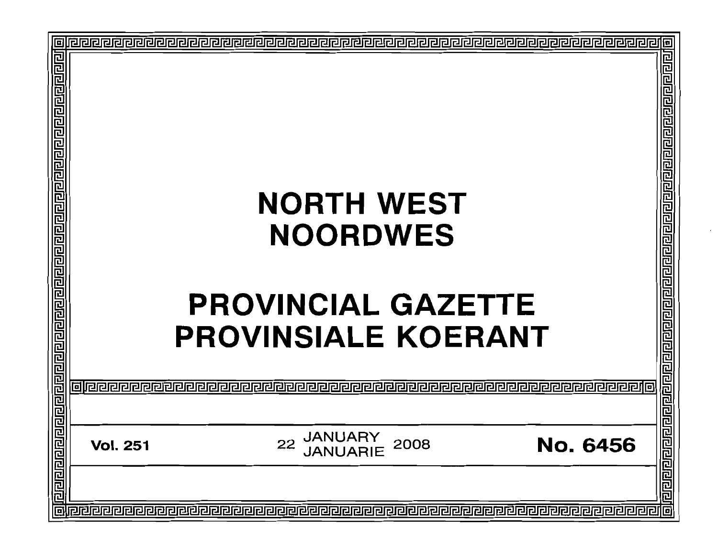|                                                                                                                |                                                                                       | 回                                                                                                             |
|----------------------------------------------------------------------------------------------------------------|---------------------------------------------------------------------------------------|---------------------------------------------------------------------------------------------------------------|
| बोबबाब बाह्य बाह्य संबद्धा में बाह्य का बाह्य बाह्य का बाह्य बाह्य बाह्य बाह्य बाह्य बाह्य बाह्य बाह्य बाह्य ब | <b>NORTH WEST</b><br><b>NOORDWES</b><br><b>PROVINCIAL GAZETTE</b>                     | बाँगिराराराराराय बाह्य प्राप्त स्वाद्य प्राप्त कार्य कार्य कार्य कार्य कार्य कार्य कार्य कार्य कार्य कार्य का |
|                                                                                                                | <b>PROVINSIALE KOERANT</b>                                                            |                                                                                                               |
|                                                                                                                |                                                                                       |                                                                                                               |
|                                                                                                                | <b>JANUARY</b><br>22<br><b>No. 6456</b><br>2008<br><b>Vol. 251</b><br><b>JANUARIE</b> |                                                                                                               |
|                                                                                                                |                                                                                       |                                                                                                               |
| 叵                                                                                                              |                                                                                       |                                                                                                               |
|                                                                                                                |                                                                                       |                                                                                                               |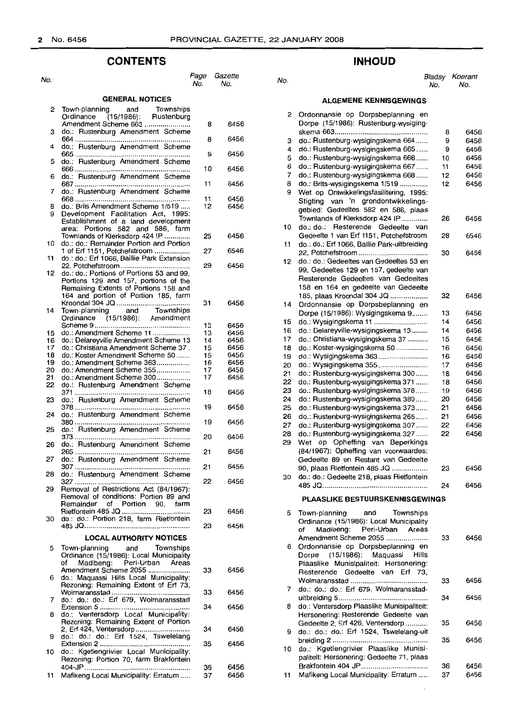# **CONTENTS**

| No.                    |                                                                                    | Page<br>No. | Gazette<br>No. |  |  |  |  |
|------------------------|------------------------------------------------------------------------------------|-------------|----------------|--|--|--|--|
| <b>GENERAL NOTICES</b> |                                                                                    |             |                |  |  |  |  |
| 2                      | Town-planning<br>Townships<br>and<br>Ordinance (15/1986):<br>Rustenburg            |             |                |  |  |  |  |
|                        | Amendment Scheme 663                                                               | 8           | 6456           |  |  |  |  |
| з                      | do.: Rustenburg Amendment Scheme                                                   | 8           | 6456           |  |  |  |  |
| 4                      | do.: Rustenburg Amendment Scheme                                                   |             |                |  |  |  |  |
| 5                      | do.: Rustenburg Amendment Scheme                                                   | 9           | 6456           |  |  |  |  |
|                        |                                                                                    | 10          | 6456           |  |  |  |  |
| 6                      | do.: Rustenburg Amendment Scheme                                                   | 11          | 6456           |  |  |  |  |
| 7                      | do.: Rustenburg Amendment Scheme                                                   | 11          | 6456           |  |  |  |  |
| 8                      | do.: Brits Amendment Scheme 1/519                                                  | 12          | 6456           |  |  |  |  |
| 9                      | Development Facilitation Act, 1995:<br>Establishment of a land development         |             |                |  |  |  |  |
|                        | area: Portions 582 and 586, farm                                                   |             |                |  |  |  |  |
| 10                     | Townlands of Klerksdorp 424 IP<br>do.: do.: Remainder Portion and Portion          | 25          | 6456           |  |  |  |  |
| 11                     | 1 of Erf 1151, Potchefstroom<br>do.: do.: Erf 1066, Baillie Park Extension         | 27          | 6546           |  |  |  |  |
|                        |                                                                                    | 29          | 6456           |  |  |  |  |
| 12                     | do.: do.: Portions of Portions 53 and 99,<br>Portions 129 and 157, portions of the |             |                |  |  |  |  |
|                        | Remaining Extents of Portions 158 and                                              |             |                |  |  |  |  |
|                        | 164 and portion of Portion 185, farm                                               | 31          | 6456           |  |  |  |  |
| 14                     | Town-planning and Townships                                                        |             |                |  |  |  |  |
|                        | Ordinance (15/1986): Amendment                                                     | 13          | 6456           |  |  |  |  |
| 15                     | do.: Amendment Scheme 11                                                           | 13          | 6456           |  |  |  |  |
| 16                     | do.: Delareyville Amendment Scheme 13                                              | 14          | 6456           |  |  |  |  |
| 17                     | do.: Christiana Amendment Scheme 37.                                               | 15          | 6456           |  |  |  |  |
| 18                     | do.: Koster Amendment Scheme 50                                                    | 15          | 6456           |  |  |  |  |
| 19                     | do.: Amendment Scheme 363                                                          | 16          | 6456           |  |  |  |  |
| 20                     | do.: Amendment Scheme 355                                                          | 17          | 6456           |  |  |  |  |
|                        |                                                                                    |             |                |  |  |  |  |
| 21                     | do.: Amendment Scheme 300                                                          | 17          | 6456           |  |  |  |  |
| 22                     | do.: Rustenburg Amendment Scheme                                                   | 18          | 6456           |  |  |  |  |
| 23                     | do.: Rustenburg Amendment Scheme                                                   |             |                |  |  |  |  |
| 24                     | do.: Rustenburg Amendment Scheme                                                   | 19          | 6456           |  |  |  |  |
|                        |                                                                                    | 19          | 6456           |  |  |  |  |
| 25                     | do.: Rustenburg Amendment Scheme                                                   | 20          | 6456           |  |  |  |  |
| 26                     | do.: Rustenburg Amendment Scheme                                                   | 21          | 6456           |  |  |  |  |
| 27                     | do.: Rustenburg Amendment Scheme                                                   |             |                |  |  |  |  |
| 28                     | do.: Rustenburg Amendment Scheme                                                   | 21          | 6456           |  |  |  |  |
| 29                     | Removal of Restrictions Act (84/1967):                                             | 22          | 6456           |  |  |  |  |
|                        | Removal of conditions: Portion 89 and                                              |             |                |  |  |  |  |
|                        | Remainder of<br>Portion 90.<br>farm                                                | 23          | 6456           |  |  |  |  |
| 30                     | do.: do.: Portion 218, farm Rietfontein                                            | 23          | 6456           |  |  |  |  |
|                        | <b>LOCAL AUTHORITY NOTICES</b>                                                     |             |                |  |  |  |  |
|                        |                                                                                    |             |                |  |  |  |  |
| 5                      | and Townships<br>Town-planning                                                     |             |                |  |  |  |  |
|                        | Ordinance (15/1986): Local Municipality                                            |             |                |  |  |  |  |
|                        | Madibeng: Peri-Urban Areas<br>of                                                   |             |                |  |  |  |  |
|                        | Amendment Scheme 2055                                                              | 33          | 6456           |  |  |  |  |
| 6                      | do.: Maquassi Hills Local Municipality:                                            |             |                |  |  |  |  |
|                        |                                                                                    |             |                |  |  |  |  |
|                        | Rezoning: Remaining Extent of Erf 73,                                              |             |                |  |  |  |  |
|                        |                                                                                    | 33          | 6456           |  |  |  |  |
| 7                      | do.: do.: do.: Erf 679, Wolmaransstad                                              |             |                |  |  |  |  |
|                        |                                                                                    | 34          | 6456           |  |  |  |  |
| 8                      | do.: Ventersdorp Local Municipality:                                               |             |                |  |  |  |  |
|                        | Rezoning: Remaining Extent of Portion                                              |             |                |  |  |  |  |
|                        |                                                                                    |             |                |  |  |  |  |
|                        |                                                                                    | 34          | 6456           |  |  |  |  |
| 9                      | do.: do.: do.: Erf 1524, Tswelelang                                                |             |                |  |  |  |  |
|                        |                                                                                    | 35          | 6456           |  |  |  |  |
| 10                     | do.: Kgetiengrivier Local Municipality:                                            |             |                |  |  |  |  |
|                        | Rezoning: Portion 70, farm Brakfontein                                             |             |                |  |  |  |  |
|                        |                                                                                    |             |                |  |  |  |  |
|                        |                                                                                    | 36          | 6456           |  |  |  |  |
| 11                     | Mafikeng Local Municipality: Erratum                                               | 37          | 6456           |  |  |  |  |
|                        |                                                                                    |             |                |  |  |  |  |

# **INHOUD**

#### No. No. No. Bladsy Koerant No. No.

## **ALGEMENE KENNISGEWINGS**

| 2  | Ordonnansie op Dorpsbeplanning en<br>Dorpe (15/1986): Rustenburg-wysiging- |    |      |
|----|----------------------------------------------------------------------------|----|------|
|    |                                                                            |    |      |
|    |                                                                            | 8  | 6456 |
| з  | do.: Rustenburg-wysigingskema 664                                          | 9  | 6456 |
| 4  | do.: Rustenburg-wysigingskema 665                                          | 9  | 6456 |
| 5  | do.: Rustenburg-wysigingskema 666                                          | 10 | 6456 |
| 6  | do.: Rustenburg-wysigingskema 667                                          | 11 | 6456 |
| 7  | do.: Rustenburg-wysigingskema 668                                          | 12 | 6456 |
| 8  | do.: Brits-wysigingskema 1/519                                             | 12 | 6456 |
| 9  | Wet op Ontwikkelingsfasilitering, 1995:                                    |    |      |
|    | Stigting van 'n grondontwikkelings-                                        |    |      |
|    | gebied: Gedeeltes 582 en 586, plaas                                        |    |      |
|    | Townlands of Klerksdorp 424 IP                                             | 26 | 6456 |
| 10 | do.: do.:<br>Resterende<br>Gedeelte<br>van                                 |    |      |
|    | Gedeelte 1 van Erf 1151, Potchefstroom                                     | 28 | 6546 |
| 11 | do.: do.: Erf 1066, Baillie Park-uitbreiding                               |    |      |
|    |                                                                            | 30 | 6456 |
| 12 | do.: do.: Gedeeltes van Gedeeltes 53 en                                    |    |      |
|    | 99, Gedeeltes 129 en 157, gedeelte van                                     |    |      |
|    | Resterende Gedeeltes van Gedeeltes                                         |    |      |
|    | 158 en 164 en gedeelte van Gedeelte                                        |    |      |
|    | 185, plaas Kroondal 304 JQ                                                 | 32 | 6456 |
| 14 | Ordonnansie op Dorpsbeplanning en                                          |    |      |
|    | Dorpe (15/1986): Wysigingskema 9                                           | 13 | 6456 |
| 15 | do.: Wysigingskema 11                                                      | 14 | 6456 |
| 16 | do.: Delareyville-wysigingskema 13                                         | 14 | 6456 |
| 17 | do.: Christiana-wysigingskema 37                                           | 15 | 6456 |
| 18 | do.: Koster-wysigingskema 50                                               | 16 | 6456 |
| 19 | do.: Wysigingskema 363                                                     | 16 | 6456 |
| 20 | do.: Wysigingskema 355                                                     | 17 | 6456 |
| 21 | do.: Rustenburg-wysigingskema 300                                          | 18 | 6456 |
| 22 | do.: Rustenburg-wysigingskema 371                                          | 18 | 6456 |
| 23 | do.: Rustenburg-wysigingskema 378                                          | 19 | 6456 |
| 24 | do.: Rustenburg-wysigingskema 380                                          | 20 | 6456 |
| 25 | do.: Rustenburg-wysigingskema 373                                          | 21 | 6456 |
| 26 | do.: Rustenburg-wysigingskema 265                                          | 21 | 6456 |
| 27 | do.: Rustenburg-wysigingskema 307                                          | 22 | 6456 |
| 28 | do.: Rustenburg-wysigingskema 327                                          | 22 | 6456 |
| 29 | Wet<br>op Opheffing van Beperkings                                         |    |      |
|    | (84/1967): Opheffing van voorwaardes:                                      |    |      |
|    | Gedeelte 89 en Restant van Gedeelte                                        |    |      |
|    |                                                                            |    |      |
|    | 90, plaas Rietfontein 485 JQ                                               | 23 | 6456 |
| 30 | do.: do.: Gedeelte 218, plaas Rietfontein                                  |    |      |
|    |                                                                            | 24 | 6456 |
|    | <b>PLAASLIKE BESTUURSKENNISGEWINGS</b>                                     |    |      |
| 5  | Town-planning<br>and Townships                                             |    |      |
|    | Ordinance (15/1986): Local Municipality                                    |    |      |
|    | Madibeng:<br>Peri-Urban Areas<br>of                                        |    |      |
|    | Amendment Scheme 2055                                                      | 33 | 6456 |
| 6  | Ordonnansie op Dorpsbeplanning en                                          |    |      |
|    | Dorpe (15/1986): Maquassi Hills                                            |    |      |
|    | Plaaslike Munisipaliteit: Hersonering:                                     |    |      |
|    | Resterende Gedeelte van Erf 73,                                            |    |      |
|    |                                                                            |    |      |
|    |                                                                            | 33 | 6456 |
| 7  | do.: do.: do.: Erf 679, Wolmaransstad-                                     |    |      |
|    |                                                                            | 34 | 6456 |
| 8  | do.: Ventersdorp Plaaslike Munisipaliteit:                                 |    |      |
|    | Hersonering: Resterende Gedeelte van                                       |    |      |
|    | Gedeelte 2, Erf 426, Ventersdorp                                           | 35 | 6456 |
| 9  | do.: do.: do.: Erf 1524, Tswelelang-uit                                    |    |      |
|    |                                                                            | 35 | 6456 |
| 10 | do.: Kgetlengrivier Plaaslike Munisi-                                      |    |      |
|    | paliteit: Hersonering: Gedeelte 71, plaas                                  |    |      |
|    |                                                                            | 36 | 6456 |
| 11 | Mafikeng Local Municipality: Erratum                                       | 37 | 6456 |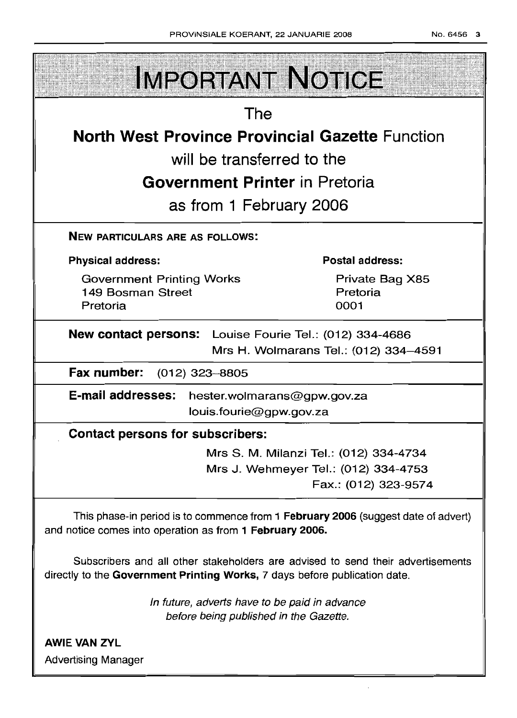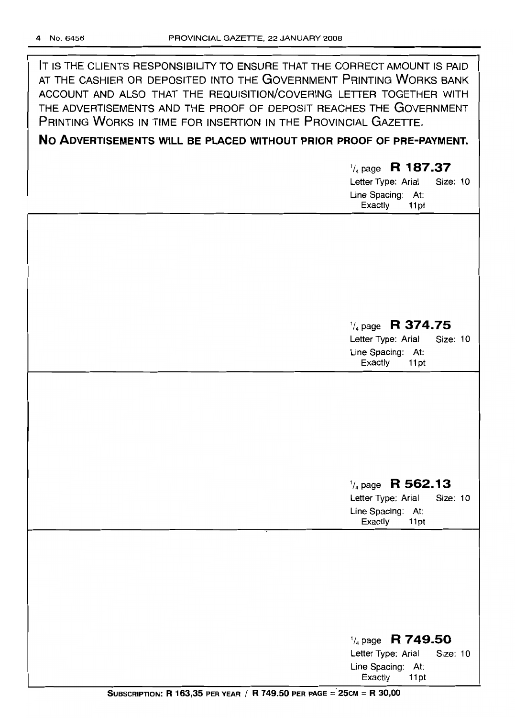IT IS THE CLIENTS RESPONSIBILITY TO ENSURE THAT THE CORRECT AMOUNT IS PAID AT THE CASHIER OR DEPOSITED INTO THE GOVERNMENT PRINTING WORKS BANK ACCOUNT AND ALSO THAT THE REQUISITION/COVERING LETTER TOGETHER WITH THE ADVERTISEMENTS AND THE PROOF OF DEPOSIT REACHES THE GOVERNMENT PRINTING WORKS IN TIME FOR INSERTION IN THE PROVINCIAL GAZETTE.

# **No ADVERTISEMENTS WILL BE PLACED WITHOUT PRIOR PROOF OF PRE-PAYMENT.**

# *1/4* page **R 187.37**

Letter Type: Arial Size: 10 Line Spacing: At: Exactly 11 pt

# *1/4* page **R 374.75**

Letter Type: Arial Size: 10 Line Spacing: At: Exactly 11 pt

# *1/4* page **R 562.13**

Letter Type: Arial Size: 10 Line Spacing: At:<br>Exactly 11pt Exactly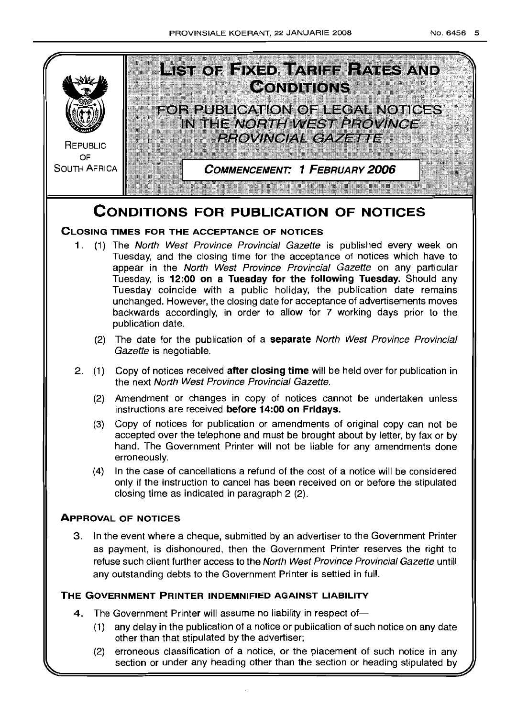

(2) erroneous classification of a notice, or the placement of such notice in any section or under any heading other than the section or heading stipulated by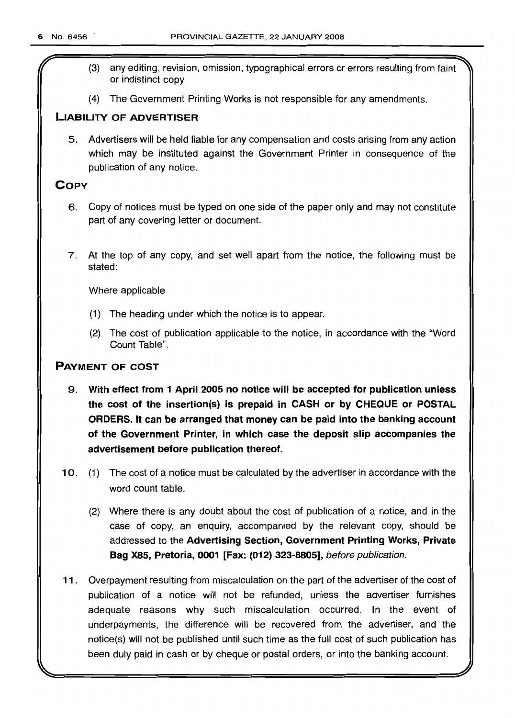- (3) any editing, revision, omission, typographical errors or errors resulting from faint or indistinct copy.
- (4) The Government Printing Works is not responsible for any amendments.

## **LIABILITY OF ADVERTISER**

5. Advertisers will be held liable for any compensation and costs arising from any action which may be instituted against the Government Printer in consequence of the publication of any notice.

## **COpy**

- 6. Copy of notices must be typed on one side of the paper only and may not constitute part of any covering letter or document.
- 7. At the top of any copy, and set well apart from the notice, the following must be stated:

Where applicable

- (1) The heading under which the notice is to appear.
- (2) The cost of publication applicable to the notice, in accordance with the "Word Count Table".

## **PAYMENT OF COST**

- 9. **With effect from 1 April 2005 no notice will be accepted for publication unless the cost of the insertion(s) is prepaid in CASH or by CHEQUE or POSTAL ORDERS. It can be arranged that money can be paid into the banking account of the Government Printer, in which case the deposit slip accompanies the advertisement before publication thereof.**
- 10. (1) The cost of a notice must be calculated by the advertiser in accordance with the word count table.
	- (2) Where there is any doubt about the cost of publication of a notice, and in the case of copy, an enquiry, accompanied by the relevant copy, should be addressed to the **Advertising Section, Government Printing Works, Private Bag X85, Pretoria, 0001 [Fax: (012) 323-8805],** before publication.
- **11.** Overpayment resulting from miscalculation on the part of the advertiser of the cost of publication of a notice will not be refunded, unless the advertiser furnishes adequate reasons why such miscalculation occurred. **In** the event of underpayments, the difference will be recovered from the advertiser, and the notice(s) will not be published until such time as the full cost of such publication has been duly paid in cash or by cheque or postal orders, or into the banking account.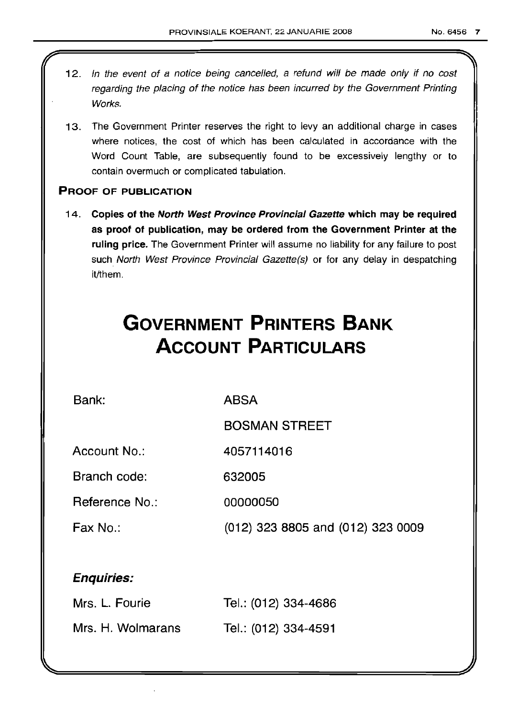12. In the event of a notice being cancelled, a refund will be made only if no cost regarding the placing of the notice has been incurred by the Government Printing Works. 13. The Government Printer reserves the right to levy an additional charge in cases where notices, the cost of which has been calculated in accordance with the Word Count Table, are subsequently found to be excessively lengthy or to contain overmuch or complicated tabulation. PROOF OF PUBLICATION 14. Copies of the North West Province Provincial Gazette which may be required as proof of publication, may be ordered from the Government Printer at the ruling price. The Government Printer will assume no liability for any failure to post such North West Province Provincial Gazette(s) or for any delay in despatching it/them. **GOVERNMENT PRINTERS BANK ACCOUNT PARTICULARS** Bank: Account No.: Branch code: Reference No.: Fax No.: Enquiries: ABSA BOSMAN STREET 4057114016 632005 00000050 (012) 323 8805 and (012) 323 0009

| Mrs. L. Fourie    | Tel.: (012) 334-4686 |
|-------------------|----------------------|
| Mrs. H. Wolmarans | Tel.: (012) 334-4591 |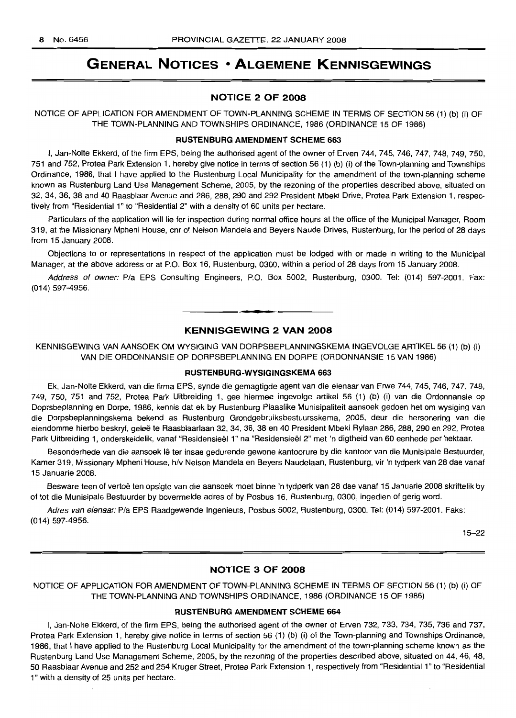# **GENERAL NOTICES • ALGEMENE KENNISGEWINGS**

## NOTICE 2 OF 2008

NOTICE OF APPLICATION FOR AMENDMENT OF TOWN-PLANNING SCHEME IN TERMS OF SECTION 56 (1) (b) (i) OF THE TOWN-PLANNING AND TOWNSHIPS ORDINANCE, 1986 (ORDINANCE 15 OF 1986)

## RUSTENBURG AMENDMENT SCHEME 663

I, Jan-Nolte Ekkerd, of the firm EPS, being the authorised agent of the owner of Erven 744, 745, 746, 747, 748, 749, 750, 751 and 752, Protea Park Extension 1, hereby give notice in terms of section 56 (1) (b) (i) of the Town-planning and Townships Ordinance, 1986, that I have applied to the Rustenburg Local Municipality for the amendment of the town-planning scheme known as Rustenburg Land Use Management Scheme, 2005, by the rezoning of the properties described above, situated on 32, 34, 36, 38 and 40 Raasblaar Avenue and 286, 288, 290 and 292 President Mbeki Drive, Protea Park Extension 1, respectively from "Residential 1" to "Residential 2" with a density of 60 units per hectare.

Particulars of the application will lie for inspection during normal office hours at the office of the Municipal Manager, Room 319, at the Missionary Mpheni House, cnr of Nelson Mandela and Beyers Naude Drives, Rustenburg, for the period of 28 days from 15 January 2008.

Objections to or representations in respect of the application must be lodged with or made in writing to the Municipal Manager, at the above address or at P.O. Box 16, Rustenburg, 0300, within a period of 28 days from 15 January 2008.

Address of owner: P/a EPS Consulting Engineers, P.O. Box 5002, Rustenburg, 0300. Tel: (014) 597-2001. Fax: (014) 597-4956.

## KENNISGEWING 2 VAN 2008

**-**

KENNISGEWING VAN AANSOEK OM WYSIGING VAN DORPSBEPLANNINGSKEMA INGEVOLGE ARTIKEL 56 (1) (b) (i) VAN DIE ORDONNANSIE OP DORPSBEPLANNING EN DORPE (ORDONNANSIE 15 VAN 1986)

#### RUSTENBURG-WYSIGINGSKEMA 663

Ek, Jan-Nolte Ekkerd, van die firma EPS, synde die gemagtigde agent van die eienaar van Erwe 744, 745, 746, 747, 748, 749, 750, 751 and 752, Protea Park Uitbreiding 1, gee hiermee ingevolge artikel 56 (1) (b) (i) van die Ordonnansie op Doprsbeplanning en Dorpe, 1986, kennis dat ek by Rustenburg Plaaslike Munisipaliteit aansoek gedoen het om wysiging van die Dorpsbeplanningskema bekend as Rustenburg Grondgebruiksbestuursskema, 2005, deur die hersonering van die eiendomme hierbo beskryf, gelee te Raasblaarlaan 32, 34, 36, 38 en 40 President Mbeki Rylaan 286, 288, 290 en 292, Protea Park Uitbreiding 1, onderskeidelik, vanaf "Residensieël 1" na "Residensieël 2" met 'n digtheid van 60 eenhede per hektaar.

Besonderhede van die aansoek lê ter insae gedurende gewone kantoorure by die kantoor van die Munisipale Bestuurder, Kamer 319, Missionary Mpheni House, h/v Nelson Mandela en Beyers Naudelaan, Rustenburg, vir 'n tydperk van 28 dae vanaf 15 Januarie 2008.

Besware teen of vertoë ten opsigte van die aansoek moet binne 'n tydperk van 28 dae vanaf 15 Januarie 2008 skriftelik by of tot die Munisipale Bestuurder by bovermelde adres of by Posbus 16, Rustenburg, 0300, ingedien of gerig word.

Adres van eienaar: P/a EPS Raadgewende Ingenieurs, Posbus 5002, Rustenburg, 0300. Tel: (014) 597-2001. Faks: (014) 597-4956.

15-22

#### NOTICE 3 OF 2008

NOTICE OF APPLICATION FOR AMENDMENT OF TOWN-PLANNING SCHEME IN TERMS OF SECTION 56 (1) (b) (i) OF THE TOWN-PLANNING AND TOWNSHIPS ORDINANCE, 1986 (ORDINANCE 15 OF 1986)

#### RUSTENBURG AMENDMENT SCHEME 664

I, Jan-Nolte Ekkerd, of the firm EPS, being the authorised agent of the owner of Erven 732, 733, 734, 735, 736 and 737, Protea Park Extension 1, hereby give notice in terms of section 56 (1) (b) (i) of the Town-planning and Townships Ordinance, 1986, that I have applied to the Rustenburg Local Municipality for the amendment of the town-planning scheme known as the Rustenburg Land Use Management Scheme, 2005, by the rezoning of the properties described above, situated on 44, 46, 48, 50 Raasblaar Avenue and 252 and 254 Kruger Street, Protea Park Extension 1, respectively from "Residential 1" to "Residential 1" with a density of 25 units per hectare.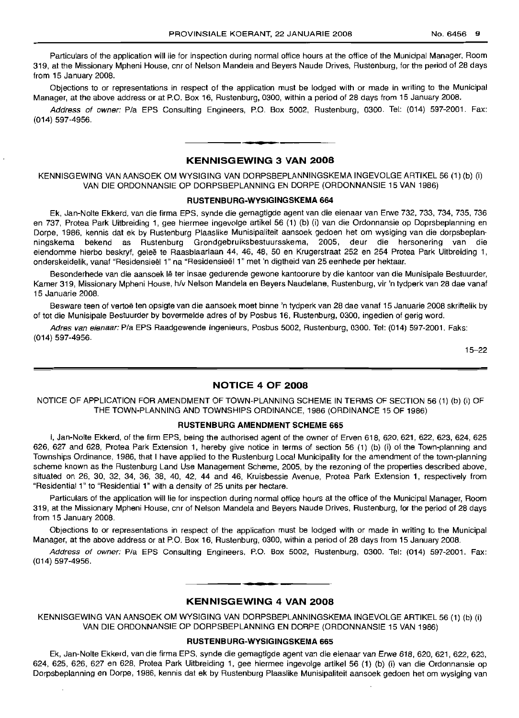Particulars of the application will lie for inspection during normal office hours at the office of the Municipal Manager, Room 319, at the Missionary Mpheni House, cnr of Nelson Mandela and Beyers Naude Drives, Rustenburg, for the period of 28 days from 15 January 2008.

Objections to or representations in respect of the application must be lodged with or made in writing to the Municipal Manager, at the above address or at P.O. Box 16, Rustenburg, 0300, within a period of 28 days from 15 January 2008.

Address of owner: P/a EPS Consulting Engineers, P.O. Box 5002, Rustenburg, 0300. Tel: (014) 597-2001. Fax: (014) 597-4956.

## **KENNISGEWING 3 VAN 2008**

**• •**

KENNISGEWING VAN AANSOEK OM WYSIGING VAN DORPSBEPLANNINGSKEMA INGEVOLGE ARTIKEL 56 (1) (b) (i) VAN DIE ORDONNANSIE OP DORPSBEPLANNING EN DORPE (ORDONNANSIE 15 VAN 1986)

#### **RUSTENBURG-WYSIGINGSKEMA 664**

Ek, Jan-Nolte Ekkerd, van die firma EPS, synde die gemagtigde agent van die eienaar van Erwe 732, 733, 734, 735, 736 en 737, Protea Park Uitbreiding 1, gee hiermee ingevolge artikel 56 (1) (b) (i) van die Ordonnansie op Doprsbeplanning en Dorpe, 1986, kennis dat ek by Rustenburg Plaaslike Munisipaliteit aansoek gedoen het om wysiging van die dorpsbeplanningskema bekend as Rustenburg Grondgebruiksbestuursskema, 2005, deur die hersonering van die eiendomme hierbo beskryf, geleë te Raasblaarlaan 44, 46, 48, 50 en Krugerstraat 252 en 254 Protea Park Uitbreiding 1, onderskeidelik, vanaf "Residensieel 1" na "Residensieel 1" met 'n digtheid van 25 eenhede per hektaar.

Besonderhede van die aansoek lê ter insae gedurende gewone kantoorure by die kantoor van die Munisipale Bestuurder, Kamer 319, Missionary Mpheni House, h/v Nelson Mandela en Beyers Naudelane, Rustenburg, vir 'n tydperk van 28 dae vanaf 15 Januarie 2008.

Besware teen of vertoë ten opsigte van die aansoek moet binne 'n tydperk van 28 dae vanaf 15 Januarie 2008 skriftelik by of tot die Munisipale Bestuurder by bovermelde adres of by Posbus 16, Rustenburg, 0300, ingedien of gerig word.

Adres van eienaar: P/a EPS Raadgewende Ingenieurs, Posbus 5002, Rustenburg, 0300. Tel: (014) 597-2001. Faks: (014) 597-4956.

15-22

#### **NOTICE 4 OF 2008**

NOTICE OF APPLICATION FOR AMENDMENT OF TOWN-PLANNING SCHEME IN TERMS OF SECTION 56 (1) (b) (i) OF THE TOWN-PLANNING AND TOWNSHIPS ORDINANCE, 1986 (ORDINANCE 15 OF 1986)

#### **RUSTENBURG AMENDMENT SCHEME 665**

I, Jan-Nolte Ekkerd, of the firm EPS, being the authorised agent of the owner of Erven 618, 620, 621, 622, 623, 624, 625 626, 627 and 628, Protea Park Extension 1, hereby give notice in terms of section 56 (1) (b) (i) of the Town-planning and Townships Ordinance, 1986, that I have applied to the Rustenburg Local Municipality for the amendment of the town-planning scheme known as the Rustenburg Land Use Management Scheme, 2005, by the rezoning of the properties described above, situated on 26, 30, 32, 34, 36, 38, 40, 42, 44 and 46, Kruisbessie Avenue, Protea Park Extension 1, respectively from "Residential 1" to "Residential 1" with a density of 25 units per hectare.

Particulars of the application will lie for inspection during normal office hours at the office of the Municipal Manager, Room 319, at the Missionary Mpheni House, cnr of Nelson Mandela and Beyers Naude Drives, Rustenburg, for the period of 28 days from 15 January 2008.

Objections to or representations in respect of the application must be lodged with or made in writing to the Municipal Manager, at the above address or at P.O. Box 16, Rustenburg, 0300, within a period of 28 days from 15 January 2008.

Address of owner: P/a EPS Consulting Engineers, P.O. Box 5002, Rustenburg, 0300. Tel: (014) 597-2001. Fax: (014) 597-4956.

## **KENNISGEWING 4 VAN 2008**

• **••**

KENNISGEWING VAN AANSOEK OM WYSIGING VAN DORPSBEPLANNINGSKEMA INGEVOLGE ARTIKEL 56 (1) (b) (i) VAN DIE ORDONNANSIE OP DORPSBEPLANNING EN DORPE (ORDONNANSIE 15 VAN 1986)

#### **RUSTENBURG-WYSIGINGSKEMA 665**

Ek, Jan-Nolte Ekkerd, van die firma EPS, synde die gemagtigde agent van die eienaar van Erwe 618, 620, 621, 622, 623, 624, 625, 626, 627 en 628, Protea Park Uitbreiding 1, gee hiermee ingevolge artikel 56 (1) (b) (i) van die Ordonnansie op Dorpsbeplanning en Dorpe, 1986, kennis dat ek by Rustenburg Plaaslike Munisipaliteit aansoek gedoen het om wysiging van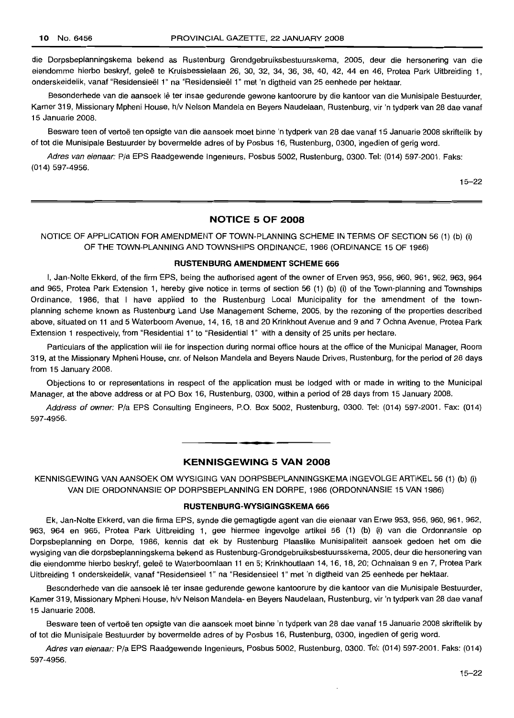die Dorpsbeplanningskema bekend as Rustenburg Grondgebruiksbestuursskema, 2005, deur die hersonering van die eiendomme hierbo beskryf, geleë te Kruisbessielaan 26, 30, 32, 34, 36, 38, 40, 42, 44 en 46, Protea Park Uitbreiding 1, onderskeidelik, vanaf "Residensieel 1" na "Residensieel 1" met 'n digtheid van 25 eenhede per hektaar.

Besonderhede van die aansoek lê ter insae gedurende gewone kantoorure by die kantoor van die Munisipale Bestuurder, Kamer 319, Missionary Mpheni House, h/v Nelson Mandela en Beyers Naudelaan, Rustenburg, vir 'n tydperk van 28 dae vanaf 15 Januarie 2008.

Besware teen of vertoe ten opsigte van die aansoek moet binne 'n tydperk van 28 dae vanaf 15 Januarie 2008 skriftelik by of tot die Munisipale Bestuurder by bovermelde adres of by Posbus 16, Rustenburg, 0300, ingedien of gerig word.

Adres van eienaar: Pia EPS Raadgewende Ingenieurs, Posbus 5002, Rustenburg, 0300. Tel: (014) 597-2001. Faks: (014) 597-4956.

15-22

## **NOTICE 5 OF 2008**

NOTICE OF APPLICATION FOR AMENDMENT OF TOWN-PLANNING SCHEME IN TERMS OF SECTION 56 (1) (b) (i) OF THE TOWN-PLANNING AND TOWNSHIPS ORDINANCE, 1986 (ORDINANCE 15 OF 1986)

#### **RUSTENBURG AMENDMENT SCHEME 666**

I, Jan-Nolte Ekkerd, of the firm EPS, being the authorised agent of the owner of Erven 953, 956, 960, 961, 962, 963, 964 and 965, Protea Park Extension 1, hereby give notice in terms of section 56 (1) (b) (i) of the Town-planning and Townships Ordinance, 1986, that I have applied to the Rustenburg Local Municipality for the amendment of the townplanning scheme known as Rustenburg Land Use Management Scheme, 2005, by the rezoning of the properties described above, situated on 11 and 5 Waterboom Avenue, 14, 16, 18 and 20 Krinkhout Avenue and 9 and 7 Ochna Avenue, Protea Park Extension 1 respectively, from "Residential 1" to "Residential 1" with a density of 25 units per hectare.

Particulars of the application will lie for inspection during normal office hours at the office of the Municipal Manager, Room 319, at the Missionary Mpheni House, em. of Nelson Mandela and Beyers Naude Drives, Rustenburg, for the period of 28 days from 15 January 2008.

Objections to or representations in respect of the application must be lodged with or made in writing to the Municipal Manager, at the above address or at PO Box 16, Rustenburg, 0300, within a period of 28 days from 15 January 2008.

Address of owner: Pia EPS Consulting Engineers, P.O. Box 5002, Rustenburg, 0300. Tel: (014) 597-2001. Fax: (014) 597-4956.

## **KENNISGEWING 5 VAN 2008**

• **• E**

KENNISGEWING VAN AANSOEK OM WYSIGING VAN DORPSBEPLANNINGSKEMA INGEVOLGE ARTIKEL 56 (1) (b) (i) VAN DIE ORDONNANSIE OP DORPSBEPLANNING EN DORPE, 1986 (ORDONNANSIE 15 VAN 1986)

#### **RUSTENBURG-WYSIGINGSKEMA 666**

Ek, Jan-Nolte Ekkerd, van die firma EPS, synde die gemagtigde agent van die eienaar van Erwe 953,956, 960, 961,962, 963, 964 en 965, Protea Park Uitbreiding 1, gee hiermee ingevolge artikel 56 (1) (b) (i) van die Ordonnansie op Dorpsbeplanning en Dorpe, 1986, kennis dat ek by Rustenburg Plaaslike Munisipaliteit aansoek gedoen het om die wysiging van die dorpsbeplanningskema bekend as Rustenburg-Grondgebruiksbestuursskema, 2005, deur die hersonering van die eiendomme hierbo beskryf, geleë te Waterboomlaan 11 en 5; Krinkhoutlaan 14, 16, 18, 20; Ochnalaan 9 en 7, Protea Park Uitbreiding 1 onderskeidelik, vanaf "Residensieel 1" na "Residensieel 1" met 'n digtheid van 25 eenhede per hektaar.

Besonderhede van die aansoek Ie ter insae gedurende gewone kantoorure by die kantoor van die Munisipale Bestuurder, Kamer 319, Missionary Mpheni House, h/v Nelson Mandela- en Beyers Naudelaan, Rustenburg, vir 'n tydperk van 28 dae vanaf 15 Januarie 2008.

Besware teen of vertoë ten opsigte van die aansoek moet binne 'n tydperk van 28 dae vanaf 15 Januarie 2008 skriftelik by of tot die Munisipale Bestuurder by bovermelde adres of by Posbus 16, Rustenburg, 0300, ingedien of gerig word.

Adres van eienaar: Pia EPS Raadgewende Ingenieurs, Posbus 5002, Rustenburg, 0300. Tel: (014) 597-2001. Faks: (014) 597-4956.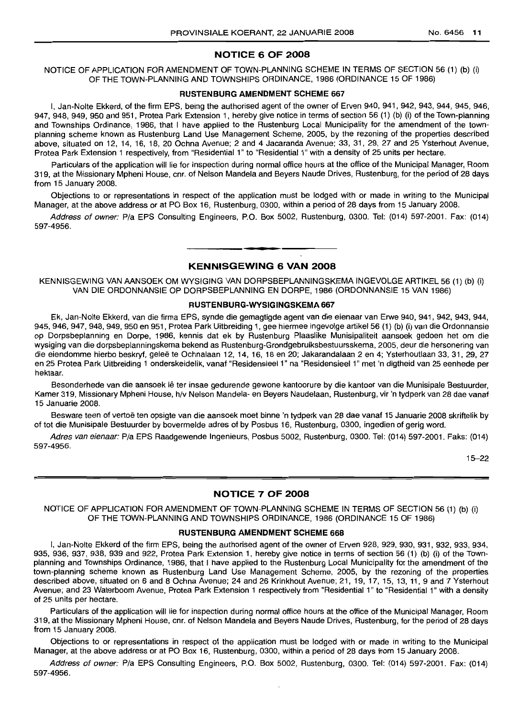## **NOTICE 6 OF 2008**

NOTICE OF APPLICATION FOR AMENDMENT OF TOWN-PLANNING SCHEME IN TERMS OF SECTION 56 (1) (b) (i) OF THE TOWN-PLANNING AND TOWNSHIPS ORDINANCE, 1986 (ORDINANCE 15 OF 1986)

#### **RUSTENBURG AMENDMENT SCHEME 667**

I, Jan-Nolte Ekkerd, of the firm EPS, being the authorised agent of the owner of Erven 940, 941, 942, 943, 944, 945, 946, 947, 948, 949, 950 and 951, Protea Park Extension 1, hereby give notice in terms of section 56 (1) (b) (i) of the Town-planning and Townships Ordinance, 1986, that I have applied to the Rustenburg Local Municipality for the amendment of the townplanning scheme known as Rustenburg Land Use Management Scheme, 2005, by the rezoning of the properties described above, situated on 12, 14, 16, 18, 20 Ochna Avenue; 2 and 4 Jacaranda Avenue; 33, 31, 29, 27 and 25 Ysterhout Avenue, Protea Park Extension 1 respectively, from "Residential 1" to "Residential 1" with a density of 25 units per hectare.

Particulars of the application will lie for inspection during normal office hours at the office of the Municipal Manager, Room 319, at the Missionary Mpheni House, cnr. of Nelson Mandela and Beyers Naude Drives, Rustenburg, for the period of 28 days from 15 January 2008.

Objections to or representations in respect of the application must be lodged with or made in writing to the Municipal Manager, at the above address or at PO Box 16, Rustenburg, 0300, within a period of 28 days from 15 January 2008.

Address of owner: Pia EPS Consulting Engineers, P.O. Box 5002, Rustenburg, 0300. Tel: (014) 597-2001. Fax: (014) 597-4956.

> **• KENNISGEWING 6 VAN 2008**

KENNISGEWING VAN AANSOEK OM WYSIGING VAN DORPSBEPLANNINGSKEMA INGEVOLGE ARTIKEL 56 (1) (b) (i) VAN DIE ORDONNANSIE OP DORPSBEPLANNING EN DORPE, 1986 (ORDONNANSIE 15 VAN 1986)

#### **RUSTENBURG·WYSIGINGSKEMA 667**

Ek, Jan-Nolte Ekkerd, van die firma EPS, synde die gemagtigde agent van die eienaar van Erwe 940, 941, 942, 943, 944, 945, 946, 947, 948, 949, 950 en 951, Protea Park Uitbreiding 1, gee hiermee ingevolge artikel 56 (1) (b) (i) van die Ordonnansie op Dorpsbeplanning en Dorpe, 1986, kennis dat ek by Rustenburg Plaaslike Munisipaliteit aansoek gedoen het om die wysiging van die dorpsbeplanningskema bekend as Rustenburg-Grondgebruiksbestuursskema, 2005, deur die hersonering van die eiendomme hierbo beskryf, geleë te Ochnalaan 12, 14, 16, 18 en 20; Jakarandalaan 2 en 4; Ysterhoutlaan 33, 31, 29, 27 en 25 Protea Park Uitbreiding 1 onderskeidelik, vanaf "Residensieel 1" na "Residensieel 1" met 'n digtheid van 25 eenhede per hektaar.

Besonderhede van die aansoek lê ter insae gedurende gewone kantoorure by die kantoor van die Munisipale Bestuurder, Kamer 319, Missionary Mpheni House, h/v Nelson Mandela- en Beyers Naudelaan, Rustenburg, vir 'n tydperk van 28 dae vanaf 15 Januarie 2008.

Besware teen of vertoë ten opsigte van die aansoek moet binne 'n tydperk van 28 dae vanaf 15 Januarie 2008 skriftelik by of tot die Munisipale Bestuurder by bovermelde adres of by Posbus 16, Rustenburg, 0300, ingedien of gerig word.

Adres van eienaar: Pia EPS Raadgewende Ingenieurs, Posbus 5002, Rustenburg, 0300. Tel: (014) 597-2001. Faks: (014) 597-4956.

15-22

## **NOTICE 7 OF 2008**

NOTICE OF APPLICATION FOR AMENDMENT OF TOWN-PLANNING SCHEME IN TERMS OF SECTION 56 (1) (b) (i) OF THE TOWN-PLANNING AND TOWNSHIPS ORDINANCE, 1986 (ORDINANCE 15 OF 1986)

#### **RUSTENBURG AMENDMENT SCHEME 668**

I, Jan-Nolte Ekkerd of the firm EPS, being the authorised agent of the owner of Erven 928, 929, 930, 931, 932, 933, 934, 935, 936, 937, 938, 939 and 922, Protea Park Extension 1, hereby give notice in terms of section 56 (1) (b) (i) of the Townplanning and Townships Ordinance, 1986, that I have applied to the Rustenburg Local Municipality for the amendment of the town-planning scheme known as Rustenburg Land Use Management Scheme, 2005, by the rezoning of the properties described above, situated on 6 and 8 Ochna Avenue; 24 and 26 Krinkhout Avenue; 21, 19, 17, 15, 13, 11, 9 and 7 Ysterhout Avenue; and 23 Waterboom Avenue, Protea Park Extension 1 respectively from "Residential 1" to "Residential 1" with a density of 25 units per hectare.

Particulars of the application will lie for inspection during normal office hours at the office of the Municipal Manager, Room 319, at the Missionary Mpheni House, cnr, of Nelson Mandela and Beyers Naude Drives, Rustenburg, for the period of 28 days from 15 January 2008.

Objections to or representations in respect of the application must be lodged with or made in writing to the Municipal Manager, at the above address or at PO Box 16, Rustenburg, 0300, within a period of 28 days from 15 January 2008.

Address of owner: Pia EPS Consulting Engineers, P.O. Box 5002, Rustenburg, 0300. Tel: (014) 597-2001. Fax: (014) 597-4956.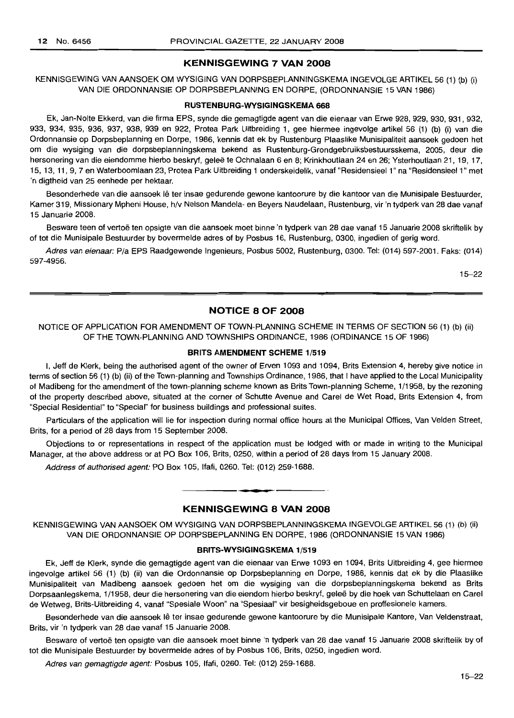## **KENNISGEWING 7 VAN 2008**

KENNISGEWING VAN AANSOEK OM WYSIGING VAN DORPSBEPLANNINGSKEMA INGEVOLGE ARTIKEL 56 (1) (b) (i) VAN DIE ORDONNANSIE OP DORPSBEPLANNING EN DORPE, (ORDONNANSIE 15 VAN 1986)

#### **RUSTENBURG-WYSIGINGSKEMA 66B**

Ek, Jan-Nolte Ekkerd, van die firma EPS, synde die gemagtigde agent van die eienaar van Erwe 928, 929, 930, 931,932, 933, 934, 935, 936, 937, 938, 939 en 922, Protea Park Uitbreiding 1, gee hiermee ingevolge artikel 56 (1) (b) (i) van die Ordonnansie op Dorpsbeplanning en Dorpe, 1986, kennis dat ek by Rustenburg Plaaslike Munisipaliteit aansoek gedoen het om die wysiging van die dorpsbeplanningskema bekend as Rustenburg-Grondgebruiksbestuursskema, 2005, deur die hersonering van die eiendomme hierbo beskryf, gelee te Ochnalaan 6 en 8; Krinkhoutlaan 24 en 26; Ysterhoutlaan 21, 19, 17, 15, 13, 11, 9, 7 en Waterboomlaan 23, Protea Park Uitbreiding 1 onderskeidelik, vanaf "Residensieel 1" na "Residensieel1 " met 'n digtheid van 25 eenhede per hektaar.

Besonderhede van die aansoek lê ter insae gedurende gewone kantoorure by die kantoor van die Munisipale Bestuurder, Kamer 319, Missionary Mpheni House, h/v Nelson Mandela- en Beyers Naudelaan, Rustenburg, vir'n tydperk van 28 dae vanaf 15 Januarie 2008.

Besware teen of vertoë ten opsigte van die aansoek moet binne 'n tydperk van 28 dae vanaf 15 Januarie 2008 skriftelik by of tot die Munisipale Bestuurder by bovermelde adres of by Posbus 16, Rustenburg, 0300, ingedien of gerig word.

Adres van eienaar: P/a EPS Raadgewende Ingenieurs, Posbus 5002, Rustenburg, 0300. Tel: (014) 597-2001. Faks: (014) 597-4956.

15-22

## **NOTICE 8 OF 2008**

NOTICE OF APPLICATION FOR AMENDMENT OF TOWN-PLANNING SCHEME IN TERMS OF SECTION 56 (1) (b) (ii) OF THE TOWN-PLANNING AND TOWNSHIPS ORDINANCE, 1986 (ORDINANCE 15 OF 1986)

## **BRITS AMENDMENT SCHEME** 1/519

I, Jeff de Klerk, being the authorised agent of the owner of Erven 1093 and 1094, Brits Extension 4, hereby give notice in terms of section 56 (1) (b) (ii) of the Town-planning and Townships Ordinance, 1986, that I have applied to the Local Municipality of Madibeng for the amendment of the town-planning scheme known as Brits Town-planning Scheme, 1/1958, by the rezoning of the property described above, situated at the corner of Schutte Avenue and Carel de Wet Road, Brits Extension 4, from "Special Residential" to "Special" for business buildings and professional suites.

Particulars of the application will lie for inspection during normal office hours at the Municipal Offices, Van Velden Street, Brits, for a period of 28 days from 15 September 2008.

Objections to or representations in respect of the application must be lodged with or made in writing to the Municipal Manager, at the above address or at PO Box 106, Brits, 0250, within a period of 28 days from 15 January 2008.

Address of authorised agent: PO Box 105, Ifafi, 0260. Tel: (012) 259-1688.

## **KENNISGEWING 8 VAN 2008**

I **\_ •**

KENNISGEWING VAN AANSOEK OM WYSIGING VAN DORPSBEPLANNINGSKEMA INGEVOLGE ARTIKEL 56 (1) (b) (ii) VAN DIE ORDONNANSIE OP DORPSBEPLANNING EN DORPE, 1986 (ORDONNANSIE 15 VAN 1986)

#### **BRITS-WYSIGINGSKEMA** 1/519

Ek, Jeff de Klerk, synde die gemagtigde agent van die eienaar van Erwe 1093 en 1094, Brits Uitbreiding 4, gee hiermee ingevolge artikel 56 (1) (b) (ii) van die Ordonnansie op Dorpsbeplanning en Dorpe, 1986, kennis dat ek by die Plaaslike Munisipaliteit van Madibeng aansoek gedoen het om die wysiging van die dorpsbeplanningskema bekend as Brits Dorpsaanlegskema, 1/1958, deur die hersonering van die eiendom hierbo beskryf, qelee by die hoek van Schuttelaan en Carel de Wetweg, Brits-Uitbreiding 4, vanaf "Spesiale Woon" na "Spesiaal" vir besigheidsgeboue en proffesionele kamers.

Besonderhede van die aansoek Ie ter insae gedurende gewone kantoorure by die Munisipale Kantore, Van Veldenstraat, Brits, vir 'n tydperk van 28 dae vanaf 15 Januarie 2008.

Besware of vertoë ten opsigte van die aansoek moet binne 'n tydperk van 28 dae vanaf 15 Januarie 2008 skriftelik by of tot die Munisipale Bestuurder by bovermelde adres of by Posbus 106, Brits, 0250, ingedien word.

Adres van gemagtigde agent: Posbus 105, Ifafi, 0260. Tel: (012) 259-1688.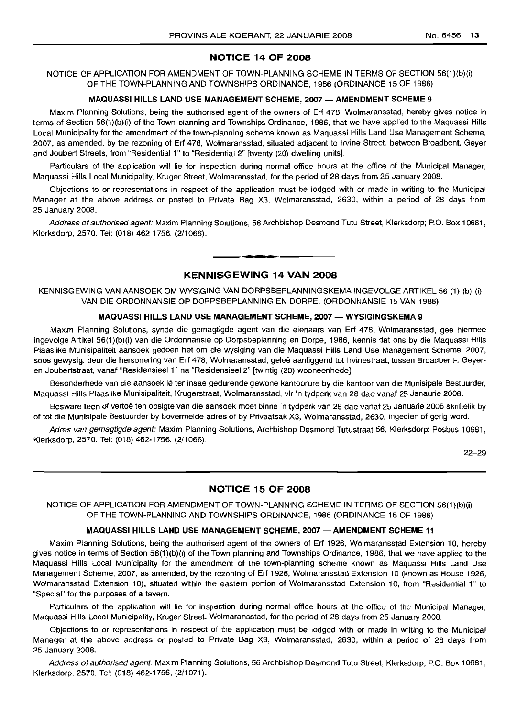## **NOTICE 14 OF 2008**

NOTICE OF APPLICATION FOR AMENDMENT OF TOWN-PLANNING SCHEME IN TERMS OF SECTION 56(1)(b)(i) OF THE TOWN-PLANNING AND TOWNSHIPS ORDINANCE, 1986 (ORDINANCE 15 OF 1986)

#### **MAQUASSI HILLS LAND USE MANAGEMENT SCHEME, 2007 - AMENDMENT SCHEME** 9

Maxim Planning Solutions, being the authorised agent of the owners of Erf 478, Wolmaransstad, hereby gives notice in terms of Section 56(1)(b)(i) of the Town-planning and Townships Ordinance, 1986, that we have applied to the Maquassi Hills Local Municipality for the amendment of the town-planning scheme known as Maquassi Hills Land Use Management Scheme, 2007, as amended, by the rezoning of Erf 478, Wolmaransstad, situated adjacent to Irvine Street, between Broadbent, Geyer and Joubert Streets, from "Residential 1" to "Residential 2" [twenty (20) dwelling units].

Particulars of the application will lie for inspection during normal office hours at the office of the Municipal Manager, Maquassi Hills Local Municipality, Kruger Street, Wolmaransstad, for the period of 28 days from 25 January 2008.

Objections to or representations in respect of the application must be lodged with or made in writing to the Municipal Manager at the above address or posted to Private Bag X3, Wolmaransstad, 2630, within a period of 28 days from 25 January 2008.

Address of authorised agent: Maxim Planning Solutions, 56 Archbishop Desmond Tutu Street, Klerksdorp; P.O. Box 10681, Klerksdorp, 2570. Tel: (018) 462-1756, (2/1066).

## **KENNISGEWING 14 VAN 2008**

.**- .**

KENNISGEWING VAN AANSOEK OM WYSIGING VAN DORPSBEPLANNINGSKEMA INGEVOLGE ARTIKEL 56 (1) (b) (i) VAN DIE ORDONNANSIE OP DORPSBEPLANNING EN DORPE, (ORDONNANSIE 15 VAN 1986)

## **MAQUASSI HILLS LAND USE MANAGEMENT SCHEME, 2007 - WYSIGINGSKEMA** 9

Maxim Planning Solutions, synde die gemagtigde agent van die eienaars van Erf 478, Wolmaransstad, gee hiermee ingevolge Artikel 56(1)(b)(i) van die Ordonnansie op Dorpsbeplanning en Dorpe, 1986, kennis dat ons by die Maquassi Hills Plaaslike Munisipaliteit aansoek gedoen het om die wysiging van die Maguassi Hills Land Use Management Scheme, 2007, soos gewysig, deur die hersonering van Erf 478, Wolmaransstad, geleë aanliggend tot Irvinestraat, tussen Broadbent-, Geyeren Joubertstraat, vanaf "Residensieel 1" na "Residensieel 2" [twintig (20) wooneenhede].

Besonderhede van die aansoek Ie ter insae gedurende gewone kantoorure by die kantoor van die Munisipale Bestuurder, Maquassi Hills Plaaslike Munisipaliteit, Krugerstraat, Wolmaransstad, vir 'n tydperk van 28 dae vanaf 25 Janaurie 2008.

Besware teen of vertoë ten opsigte van die aansoek moet binne 'n tydperk van 28 dae vanaf 25 Januarie 2008 skriftelik by of tot die Munisipale Bestuurder by bovermelde adres of by Privaatsak X3, Wolmaransstad, 2630, ingedien of gerig word.

Adres van gemagtigde agent: Maxim Planning Solutions, Archbishop Desmond Tutustraat 56, Klerksdorp; Posbus 10681, Klerksdorp, 2570. Tel: (018) 462-1756, (2/1066).

22-29

## **NOTICE 15 OF 2008**

NOTICE OF APPLICATION FOR AMENDMENT OF TOWN-PLANNING SCHEME IN TERMS OF SECTION 56(1)(b)(i) OF THE TOWN-PLANNING AND TOWNSHIPS ORDINANCE, 1986 (ORDINANCE 15 OF 1986)

#### **MAQUASSI HILLS LAND USE MANAGEMENT SCHEME, 2007 -AMENDMENT SCHEME 11**

Maxim Planning Solutions, being the authorised agent of the owners of Erf 1926, Wolmaransstad Extension 10, hereby gives notice in terms of Section 56(1)(b)(i) of the Town-planning and Townships Ordinance, 1986, that we have applied to the Maquassi Hills Local Municipality for the amendment of the town-planning scheme known as Maquassi Hills Land Use Management Scheme, 2007, as amended, by the rezoning of Erf 1926, Wolmaransstad Extension 10 (known as House 1926, Wolmaransstad Extension 10), situated within the eastern portion of Wolmaransstad Extension 10, from "Residential 1" to "Special" for the purposes of a tavern.

Particulars of the application will lie for inspection during normal office hours at the office of the Municipal Manager, Maquassi Hills Local Municipality, Kruger Street, Wolmaransstad, for the period of 28 days from 25 January 2008.

Objections to or representations in respect of the application must be lodged with or made in writing to the Municipal Manager at the above address or posted to Private Bag X3, Wolmaransstad, 2630, within a period of 28 days from 25 January 2008.

Address of authorised agent: Maxim Planning Solutions, 56 Archbishop Desmond Tutu Street, Klerksdorp; P.O. Box 10681, Klerksdorp, 2570. Tel: (018) 462-1756, (2/1071).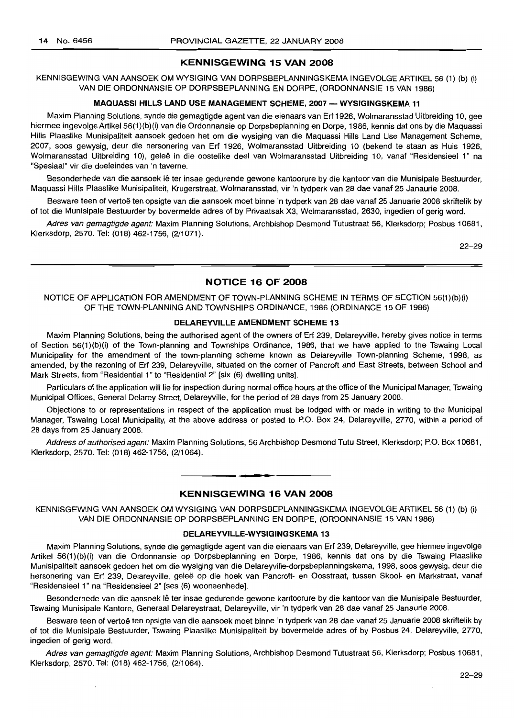## **KENNISGEWING 15 VAN 2008**

KENNISGEWING VAN AANSOEK OM WYSIGING VAN DORPSBEPLANNINGSKEMA INGEVOLGE ARTIKEL 56 (1) (b) (i) VAN DIE ORDONNANSIE OP DORPSBEPLANNING EN DORPE, (ORDONNANSIE 15 VAN 1986)

#### **MAQUASSI HILLS LAND USE MANAGEMENT SCHEME, 2007 - WYSIGINGSKEMA 11**

Maxim Planning Solutions, synde die gemagtigde agent van die eienaars van Erf 1926, Wolmaransstad Uitbreiding 10, gee hiermee ingevolge Artikel 56(1)(b)(i) van die Ordonnansie op Dorpsbeplanning en Dorpe, 1986, kennis dat ons by die Maquassi Hills Plaaslike Munisipaliteit aansoek gedoen het om die wysiging van die Maquassi Hills Land Use Management Scheme, 2007, soos gewysig, deur die hersonering van Erf 1926, Wolmaransstad Uitbreiding 10 (bekend te staan as Huis 1926, Wolmaransstad Uitbreiding 10), geleë in die oostelike deel van Wolmaransstad Uitbreiding 10, vanaf "Residensieel 1" na "Spesiaal" vir die doeleindes van 'n taverne.

Besonderhede van die aansoek lê ter insae gedurende gewone kantoorure by die kantoor van die Munisipale Bestuurder, Maquassi Hills Plaaslike Munisipaliteit, Krugerstraat, Wolmaransstad, vir 'n tydperk van 28 dae vanaf 25 Janaurie 2008.

Besware teen of vertoe ten opsigte van die aansoek moet binne 'n tydperk van 28 dae vanaf 25 Januarie 2008 skriftelik by of tot die Munisipale Bestuurder by bovermelde adres of by Privaatsak X3, Wolmaransstad, 2630, ingedien of gerig word.

Adres van gemagtigde agent: Maxim Planning Solutions, Archbishop Desmond Tutustraat 56, Klerksdorp; Posbus 10681, Klerksdorp, 2570. Tel: (018) 462-1756, (2/1071).

22-29

## **NOTICE 16 OF 2008**

NOTICE OF APPLICATION FOR AMENDMENT OF TOWN-PLANNING SCHEME IN TERMS OF SECTION 56(1)(b)(i) OF THE TOWN-PLANNING AND TOWNSHIPS ORDINANCE, 1986 (ORDINANCE 15 OF 1986)

#### **DELAREYVILLE AMENDMENT SCHEME 13**

Maxim Planning Solutions, being the authorised agent of the owners of Erf 239, Delareyville, hereby gives notice in terms of Section 56(1)(b)(i) of the Town-planning and Townships Ordinance, 1986, that we have applied to the Tswaing Local Municipality for the amendment of the town-planning scheme known as Delareyville Town-planning Scheme, 1998, as amended, by the rezoning of Erf 239, Delareyville, situated on the corner of Pancroft and East Streets, between School and Mark Streets, from "Residential 1" to "Residential 2" [six (6) dwelling units].

Particulars of the application will lie for inspection during normal office hours at the office of the Municipal Manager, Tswaing Municipal Offices, General Delarey Street, Delareyville, for the period of 28 days from 25 January 2008.

Objections to or representations in respect of the application must be lodged with or made in writing to the Municipal Manager, Tswaing Local Municipality, at the above address or posted to P.O. Box 24, Delareyville, 2770, within a period of 28 days from 25 January 2008.

Address of authorised agent: Maxim Planning Solutions, 56 Archbishop Desmond Tutu Street, Klerksdorp; P.O. Box 10681, Klerksdorp, 2570. Tel: (018) 462-1756, (2/1064).

# **• KENNISGEWING 16 VAN 2008**

KENNISGEWING VAN AANSOEK OM WYSIGING VAN DORPSBEPLANNINGSKEMA INGEVOLGE ARTIKEL 56 (1) (b) (i) VAN DIE ORDONNANSIE OP DORPSBEPLANNING EN DORPE, (ORDONNANSIE 15 VAN 1986)

#### **DELAREYVILLE-WYSIGINGSKEMA 13**

Maxim Planning Solutions, synde die gemagtigde agent van die eienaars van Erf 239, Delareyville, gee hiermee ingevolge Artikel 56(1)(b)(i) van die Ordonnansie op Dorpsbeplanning en Dorpe, 1986, kennis dat ons by die Tswaing Plaaslike Munisipaliteit aansoek gedoen het om die wysiging van die Delareyville-dorpsbeplanningskema, 1998, soos gewysig, deur die hersonering van Erf 239, Delareyville, geleë op die hoek van Pancroft- en Oosstraat, tussen Skool- en Markstraat, vanaf "ResidensieeI1" na "Residensieel 2" [ses (6) wooneenhede].

Besonderhede van die aansoek lê ter insae gedurende gewone kantoorure by die kantoor van die Munisipale Bestuurder, Tswaing Munisipale Kantore, Generaal Delareystraat, Delareyville, vir 'n tydperk van 28 dae vanaf 25 Janaurie 2008.

Besware teen of vertoe ten opsigte van die aansoek moet binne 'n tydperk van 28 dae vanaf 25 Januarie 2008 skriftelik by of tot die Munisipale Bestuurder, Tswaing Plaaslike Munisipaliteit by bovermelde adres of by Posbus 24, Delareyville, 2770, ingedien of gerig word.

Adres van gemagtigde agent: Maxim Planning Solutions, Archbishop Desmond Tutustraat 56, Klerksdorp; Posbus 10681, Klerksdorp, 2570. Tel: (018) 462-1756, (2/1064).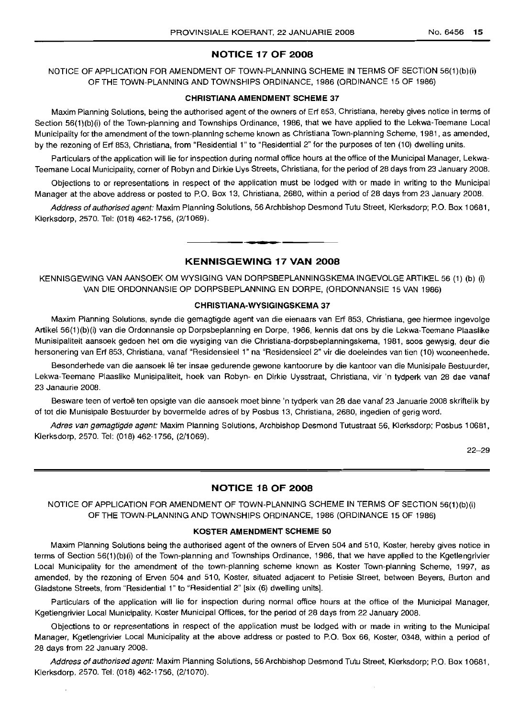## **NOTICE 17 OF 2008**

NOTICE OF APPLICATION FOR AMENDMENT OF TOWN-PLANNING SCHEME IN TERMS OF SECTION 56(1)(b)(i) OF THE TOWN-PLANNING AND TOWNSHIPS ORDINANCE, 1986 (ORDINANCE 15 OF 1986)

#### **CHRISTIANA AMENDMENT SCHEME 37**

Maxim Planning Solutions, being the authorised agent of the owners of Erf 853, Christiana, hereby gives notice in terms of Section 56(1)(b)(i) of the Town-planning and Townships Ordinance, 1986, that we have applied to the Lekwa-Teemane Local Municipality for the amendment of the town-planning scheme known as Christiana Town-planning Scheme, 1981, as amended, by the rezoning of Erf 853, Christiana, from "Residential 1" to "Residential 2" for the purposes of ten (10) dwelling units.

Particulars of the application will lie for inspection during normal office hours at the office of the Municipal Manager, Lekwa-Teemane Local Municipality, corner of Robyn and Dirkie Uys Streets, Christiana, for the period of 28 days from 23 January 2008.

Objections to or representations in respect of the application must be lodged with or made in writing to the Municipal Manager at the above address or posted to P.O. Box 13, Christiana, 2680, within a period of 28 days from 23 January 2008.

Address of authorised agent: Maxim Planning Solutions, 56 Archbishop Desmond Tutu Street, Klerksdorp; P.O. Box 10681, Klerksdorp, 2570. Tel: (018) 462-1756, (2/1069).

## **KENNISGEWING 17 VAN 2008**

**•**

KENNISGEWING VAN AANSOEK OM WYSIGING VAN DORPSBEPLANNINGSKEMA INGEVOLGE ARTIKEL 56 (1) (b) (i) VAN DIE ORDONNANSIE OP DORPSBEPLANNING EN DORPE, (ORDONNANSIE 15 VAN 1986)

#### **CHRISTIANA-WYSIGINGSKEMA 37**

Maxim Planning Solutions, synde die gemagtigde agent van die eienaars van Erf 853, Christiana, gee hiermee ingevolge Artikel 56(1)(b)(i) van die Ordonnansie op Dorpsbeplanning en Dorpe, 1986, kennis dat ons by die Lekwa-Teemane Plaaslike Munisipaliteit aansoek gedoen het om die wysiging van die Christiana-dorpsbeplanningskema, 1981, soos gewysig, deur die hersonering van Erf 853, Christiana, vanaf "Residensieel 1" na "Residensieel 2" vir die doeleindes van tien (10) wooneenhede.

Besonderhede van die aansoek lê ter insae gedurende gewone kantoorure by die kantoor van die Munisipale Bestuurder, Lekwa-Teemane Plaaslike Munisipaliteit, hoek van RObyn- en Dirkie Uysstraat, Christiana, vir 'n tydperk van 28 dae vanaf 23 Janaurie 2008.

Besware teen of vertoë ten opsigte van die aansoek moet binne 'n tydperk van 28 dae vanaf 23 Januarie 2008 skriftelik by of tot die Munisipale Bestuurder by bovermelde adres of by Posbus 13, Christiana, 2680, ingedien of gerig word.

Adres van gemagtigde agent: Maxim Planning Solutions, Archbishop Desmond Tutustraat 56, Klerksdorp; Posbus 10681, Klerksdorp, 2570. Tel: (018) 462-1756, (2/1069).

22-29

## **NOTICE 18 OF 2008**

NOTICE OF APPLICATION FOR AMENDMENT OF TOWN-PLANNING SCHEME IN TERMS OF SECTION 56(1)(b)(i) OF THE TOWN-PLANNING AND TOWNSHIPS ORDINANCE, 1986 (ORDINANCE 15 OF 1986)

## **KOSTER AMENDMENT SCHEME 50**

Maxim Planning Solutions being the authorised agent of the owners of Erven 504 and 510, Koster, hereby gives notice in terms of Section 56(1)(b)(i) of the Town-planning and Townships Ordinance, 1986, that we have applied to the Kgetlengrivier Local Municipality for the amendment of the town-planning scheme known as Koster Town-planning Scheme, 1997, as amended, by the rezoning of Erven 504 and 510, Koster, situated adjacent to Petisie Street, between Beyers, Burton and Gladstone Streets, from "Residential 1" to "Residential 2" [six (6) dwelling units].

Particulars of the application will lie for inspection during normal office hours at the office of the Municipal Manager, Kgetlengrivier Local Municipality, Koster Municipal Offices, for the period of 28 days from 22 January 2008.

Objections to or representations in respect of the application must be lodged with or made in writing to the Municipal Manager, Kgetlengrivier Local Municipality at the above address or posted to P.O. Box 66, Koster, 0348, within a period of 28 days from 22 January 2008.

Address of authorised agent: Maxim Planning Solutions, 56 Archbishop Desmond Tutu Street, Klerksdorp; P.O. Box 10681, Klerksdorp, 2570. Tel: (018) 462-1756, (2/1070).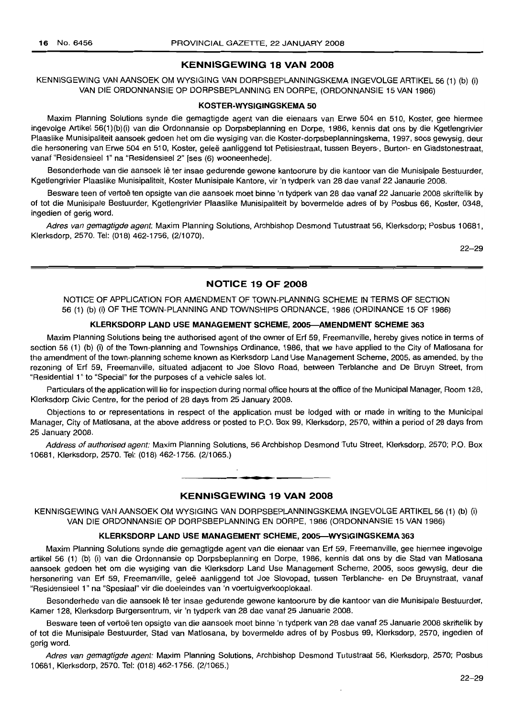#### **KENNISGEWING 18 VAN 2008**

KENNISGEWING VAN AANSOEK OM WYSIGING VAN DORPSBEPLANNINGSKEMA INGEVOLGE ARTIKEL 56 (1) (b) (i) VAN DIE ORDONNANSIE OP DORPSBEPLANNING EN DORPE, (ORDONNANSIE 15 VAN 1986)

#### **KOSTER-WYSIGINGSKEMA 50**

Maxim Planning Solutions synde die gemagtigde agent van die eienaars van Erwe 504 en 510, Koster, gee hiermee ingevolge Artikel 56(1)(b)(i) van die Ordonnansie op Dorpsbeplanning en Dorpe, 1986, kennis dat ons by die Kgetlengrivier Plaaslike Munisipaliteit aansoek gedoen het om die wysiging van die Koster-dorpsbeplanningskema, 1997, soos gewysig, deur die hersonering van Erwe 504 en 510, Koster, geleë aanliggend tot Petisiestraat, tussen Beyers-, Burton- en Gladstonestraat, vanaf "Residensieel 1" na "Residensieel 2" [ses (6) wooneenhede].

Besonderhede van die aansoek lê ter insae gedurende gewone kantoorure by die kantoor van die Munisipale Bestuurder, Kgetlengrivier Plaaslike Munisipaliteit, Koster Munisipale Kantore, vir 'n tydperk van 28 dae vanaf 22 Janaurie 2008.

Besware teen of vertoë ten opsigte van die aansoek moet binne 'n tydperk van 28 dae vanaf 22 Januarie 2008 skriftelik by of tot die Munisipale Bestuurder, Kgetlengrivier Plaaslike Munisipaliteit by bovermelde adres of by Posbus 66, Koster, 0348, ingedien of gerig word.

Adres van gemagtigde agent: Maxim Planning Solutions, Archbishop Desmond Tutustraat 56, Klerksdorp; Posbus 10681, Klerksdorp, 2570. Tel: (018) 462-1756, (2/1070).

22-29

## **NOTICE 19 OF 2008**

NOTICE OF APPLICATION FOR AMENDMENT OF TOWN-PLANNING SCHEME IN TERMS OF SECTION 56 (1) (b) (i) OF THE TOWN-PLANNING AND TOWNSHIPS ORDNANCE, 1986 (ORDINANCE 15 OF 1986)

#### **KLERKSDORP LAND USE MANAGEMENT SCHEME, 200S-AMENDMENT SCHEME 363**

Maxim Planning Solutions being the authorised agent of the owner of Erf 59, Freemanville, hereby gives notice in terms of section 56 (1) (b) (i) of the Town-planning and Townships Ordinance, 1986, that we have applied to the City of Matlosana for the amendment of the town-planning scheme known as Klerksdorp Land Use Management Scheme, 2005, as amended, by the rezoning of Erf 59, Freemanville, situated adjacent to Joe Siovo Road, between Terblanche and De Bruyn Street, from "Residential 1" to "Special" for the purposes of a vehicle sales lot.

Particulars of the application will lie for inspection during normal office hours at the office of the Municipal Manager, Room 128, Klerksdorp Civic Centre, for the period of 28 days from 25 January 2008.

Objections to or representations in respect of the application must be lodged with or made in writing to the Municipal Manager, City of Matlosana, at the above address or posted to PO. Box 99, Klerksdorp, 2570, within a period of 28 days from 25 January 2008.

Address of authorised agent: Maxim Planning Solutions, 56 Archbishop Desmond Tutu Street, Klerksdorp, 2570; P.O. Box 10681, Klerksdorp, 2570. Tel: (018) 462-1756. (2/1065.)

#### **KENNISGEWING 19 VAN 2008**

**• •**

KENNISGEWING VAN AANSOEK OM WYSIGING VAN DORPSBEPLANNINGSKEMA INGEVOLGE ARTIKEL 56 (1) (b) (i) VAN DIE ORDONNANSIE OP DORPSBEPLANNING EN DORPE, 1986 (ORDONNANSIE 15 VAN 1986)

#### **KLERKSDORP LAND USE MANAGEMENT SCHEME, 200S-WYSIGINGSKEMA 363**

Maxim Planning Solutions synde die gemagtigde agent van die eienaar van Erf 59, Freemanville, gee hiermee ingevolge artikel 56 (1) (b) (i) van die Ordonnansie op Dorpsbeplanning en Dorpe, 1986, kennis dat ons by die Stad van Matlosana aansoek gedoen het om die wysiging van die Klerksdorp Land Use Management Scheme, 2005, soos gewysig, deur die hersonering van Erf 59, Freemanville, gelee aanliggend tot Joe Siovopad, tussen Terblanche- en De Bruynstraat, vanaf "Residensieel 1" na "Spesiaal" vir die doeleindes van 'n voertuigverkooplokaal.

Besonderhede van die aansoek lê ter insae gedurende gewone kantoorure by die kantoor van die Munisipale Bestuurder, Kamer 128, Klerksdorp Burgersentrum, vir 'n tydperk van 28 dae vanaf 25 Januarie 2008.

Besware teen of vertoë ten opsigte van die aansoek moet binne 'n tydperk van 28 dae vanaf 25 Januarie 2008 skriftelik by of tot die Munisipale Bestuurder, Stad van Matlosana, by bovermelde adres of by Posbus 99, Klerksdorp, 2570, ingedien of gerig word.

Adres van gemagtigde agent: Maxim Planning Solutions, Archbishop Desmond Tutustraat 56, Klerksdorp, 2570; Posbus 10681, Klerksdorp, 2570. Tel: (018) 462-1756. (2/1065.)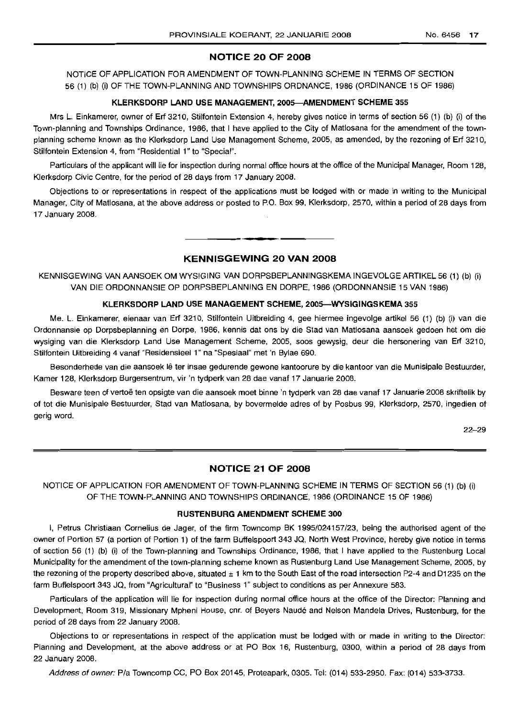## **NOTICE 20 OF 2008**

NOTICE OF APPLICATION FOR AMENDMENT OF TOWN-PLANNING SCHEME IN TERMS OF SECTION 56 (1) (b) (i) OF THE TOWN-PLANNING AND TOWNSHIPS ORDNANCE, 1986 (ORDINANCE 15 OF 1986)

#### **KLERKSDORP LAND USE MANAGEMENT, 2005-AMENDMENT SCHEME 355**

Mrs L. Einkamerer, owner of Erf 3210, Stilfontein Extension 4, hereby gives notice in terms of section 56 (1) (b) (i) of the Town-planning and Townships Ordinance, 1986, that I have applied to the City of Matlosana for the amendment of the townplanning scheme known as the Klerksdorp Land Use Management Scheme, 2005, as amended, by the rezoning of Erf 3210, Stilfontein Extension 4, from "Residential 1" to "Special".

Particulars of the applicant will lie for inspection during normal office hours at the office of the Municipal Manager, Room 128, Klerksdorp Civic Centre, for the period of 28 days from 17 January 2008.

Objections to or representations in respect of the applications must be lodged with or made in writing to the Municipal Manager, City of Matlosana, at the above address or posted to P.O. Box 99, Klerksdorp, 2570, within a period of 28 days from 17 January 2008.

## **KENNISGEWING 20 VAN 2008**

**•**

KENNISGEWING VAN AANSOEK OM WYSIGING VAN DORPSBEPLANNINGSKEMA INGEVOLGE ARTIKEL 56 (1) (b) (i) VAN DIE ORDONNANSIE OP DORPSBEPLANNING EN DORPE, 1986 (ORDONNANSIE 15 VAN 1986)

#### **KLERKSDORP LAND USE MANAGEMENT SCHEME, 2005-WYSIGINGSKEMA 355**

Me. L. Einkamerer, eienaar van Erf 3210, Stilfontein Uitbreiding 4, gee hiermee ingevolge artikel 56 (1) (b) (i) van die Ordonnansie op Dorpsbeplanning en Dorpe, 1986, kennis dat ons by die Stad van Matlosana aansoek gedoen het om die wysiging van die Klerksdorp Land Use Management Scheme, 2005, soos gewysig, deur die hersonering van Erf 3210, Stilfontein Uitbreiding 4 vanaf "Residensieel 1" na "Spesiaal" met 'n Bylae 690.

Besonderhede van die aansoek lê ter insae gedurende gewone kantoorure by die kantoor van die Munisipale Bestuurder, Kamer 128, Klerksdorp Burgersentrum, vir 'n tydperk van 28 dae vanaf 17 Januarie 2008.

Besware teen of vertoë ten opsigte van die aansoek moet binne 'n tydperk van 28 dae vanaf 17 Januarie 2008 skriftelik by of tot die Munisipale Bestuurder, Stad van Matlosana, by bovermelde adres of by Posbus 99, Klerksdorp, 2570, ingedien of gerig word.

22-29

## **NOTICE 21 OF 2008**

NOTICE OF APPLICATION FOR AMENDMENT OF TOWN-PLANNING SCHEME IN TERMS OF SECTION 56 (1) (b) (i) OF THE TOWN-PLANNING AND TOWNSHIPS ORDINANCE, 1986 (ORDINANCE 15 OF 1986)

#### **RUSTENBURG AMENDMENT SCHEME 300**

I, Petrus Christiaan Cornelius de Jager, of the firm Towncomp BK 1995/024157/23, being the authorised agent of the owner of Portion 57 (a portion of Portion 1) of the farm Buffelspoort 343 JQ, North West Province, hereby give notice in terms of section 56 (1) (b) (i) of the Town-planning and Townships Ordinance, 1986, that I have applied to the Rustenburg Local Municipality for the amendment of the town-planning scheme known as Rustenburg Land Use Management Scheme, 2005, by the rezoning of the property described above, situated  $\pm$  1 km to the South East of the road intersection P2-4 and D1235 on the farm Buffelspoort 343 JQ, from "Agricultural" to "Business 1" subject to conditions as per Annexure 583.

Particulars of the application will lie for inspection during normal office hours at the office of the Director: Planning and Development, Room 319, Missionary Mpheni House, em. of Beyers Naude and Nelson Mandela Drives, Rustenburg, for the period of 28 days from 22 January 2008.

Objections to or representations in respect of the application must be lodged with or made in writing to the Director: Planning and Development, at the above address or at PO Box 16, Rustenburg, 0300, within a period of 28 days from 22 January 2008.

Address of owner: Pia Towncomp CC, PO Box 20145, Proteapark, 0305. Tel: (014) 533-2950. Fax: (014) 533-3733.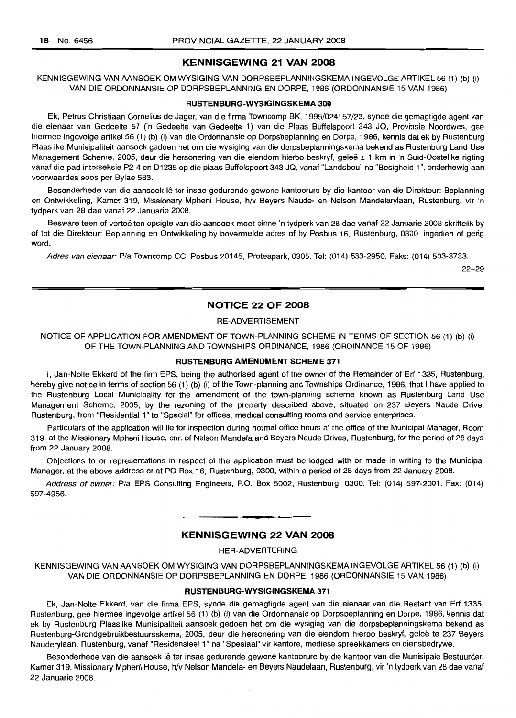#### **KENNISGEWING 21 VAN 2008**

KENNISGEWING VAN AANSOEK OM WYSIGING VAN DORPSBEPLANNINGSKEMA INGEVOLGE ARTIKEL 56 (1) (b) (i) VAN DIE ORDONNANSIE OP DORPSBEPLANNING EN DORPE, 1986 (ORDONNANSIE 15 VAN 1986)

#### **RUSTENBURG-WYSIGINGSKEMA 300**

Ek, Petrus Christiaan Cornelius de Jager, van die firma Towncomp BK, 1995/024157/23, synde die gemagtigde agent van die eienaar van Gedeelte 57 ('n Gedeelte van Gedeelte 1) van die Plaas Buffelspoort 343 JQ, Provinsie Noordwes, gee hiermee ingevolge artikel 56 (1) (b) (i) van die Ordonnansie op Dorpsbeplanning en Dorpe, 1986, kennis dat ek by Rustenburg Plaaslike Munisipaliteit aansoek gedoen het om die wysiging van die dorpsbeplanningskema bekend as Rustenburg Land Use Management Scheme, 2005, deur die hersonering van die eiendom hierbo beskryf, geleë ± 1 km in 'n Suid-Oostelike rigting vanaf die pad interseksie P2-4 en D1235 op die plaas Buffelspoort 343 JQ, vanaf "Landsbou" na "Besigheid 1", onderhewig aan voorwaardes soos per Bylae 583.

Besonderhede van die aansoek Ie ter insae gedurende gewone kantoorure by die kantoor van die Direkteur: Beplanning en Ontwikkeling, Kamer 319, Missionary Mpheni House, h/v Beyers Naude- en Nelson Mandelarylaan, Rustenburg, vir 'n tydperk van 28 dae vanaf 22 Januarie 2008.

Besware teen of vertoë ten opsigte van die aansoek moet binne 'n tydperk van 28 dae vanaf 22 Januarie 2008 skriftelik by of tot die Direkteur: Beplanning en Ontwikkeling by bovermelde adres of by Posbus 16, Rustenburg, 0300, ingedien of gerig word.

Adres van eienaar: Pia Towncomp CC, Posbus 20145, Proteapark, 0305. Tel: (014) 533-2950. Faks: (014) 533-3733.

22-29

## **NOTICE 22 OF 2008**

## RE-ADVERTISEMENT

NOTICE OF APPLICATION FOR AMENDMENT OF TOWN·PLANNING SCHEME IN TERMS OF SECTION 56 (1) (b) (i) OF THE TOWN·PLANNING AND TOWNSHIPS ORDINANCE, 1986 (ORDINANCE 15 OF 1986)

#### **RUSTENBURG AMENDMENT SCHEME 371**

I, Jan-Nolte Ekkerd of the firm EPS, being the authorised agent of the owner of the Remainder of Erf 1335, Rustenburg, hereby give notice in terms of section 56 (1) (b) (i) of the Town-planning and Townships Ordinance, 1986, that I have applied to the Rustenburg Local Municipality for the amendment of the town-planning scheme known as Rustenburg Land Use Management Scheme, 2005, by the rezoning of the property described above, situated on 237 Beyers Naude Drive, Rustenburg, from "Residential 1" to "Special" for offices, medical consulting rooms and service enterprises.

Particulars of the application will lie for inspection during normal office hours at the office of the Municipal Manager, Room 319, at the Missionary Mpheni House, cnr. of Nelson Mandela and Beyers Naude Drives, Rustenburg, for the period of 28 days from 22 January 2008.

Objections to or representations in respect of the application must be lodged with or made in writing to the Municipal Manager, at the above address or at PO Box 16, Rustenburg, 0300, within a period of 28 days from 22 January 2008.

Address of owner: P/a EPS Consulting Engineers, P.O. Box 5002, Rustenburg, 0300. Tel: (014) 597-2001. Fax: (014) 597-4956.

#### **KENNISGEWING 22 VAN 2008**

**- .**

HER-ADVERTERING

KENNISGEWING VAN AANSOEK OM WYSIGING VAN DORPSBEPLANNINGSKEMA INGEVOLGE ARTIKEL 56 (1) (b) (i) VAN DIE ORDONNANSIE OP DORPSBEPLANNING EN DORPE, 1986 (ORDONNANSIE 15 VAN 1986)

#### **RUSTENBURG-WYSIGINGSKEMA 371**

Ek, Jan-Nolte Ekkerd, van die firma EPS, synde die gemagtigde agent van die eienaar van die Restant van Erf 1335, Rustenburg, gee hiermee ingevolge artikel 56 (1) (b) (i) van die Ordonnansie op Dorpsbeplanning en Dorpe, 1986, kennis dat ek by Rustenburg Plaaslike Munisipaliteit aansoek gedoen het om die wysiging van die dorpsbeplanningskema bekend as Rustenburg-Grondgebruikbestuursskema, 2005, deur die hersonering van die eiendom hierbo beskryf, qelee te 237 Beyers Nauderylaan, Rustenburg, vanaf "Residensieel 1" na "Spesiaal" vir kantore, mediese spreekkamers en diensbedrywe.

Besonderhede van die aansoek lê ter insae gedurende gewone kantoorure by die kantoor van die Munisipale Bestuurder, Kamer 319, Missionary Mpheni House, h/v Nelson Mandela- en Beyers Naudelaan, Rustenburg, vir 'n tydperk van 28 dae vanaf 22 Januarie 2008.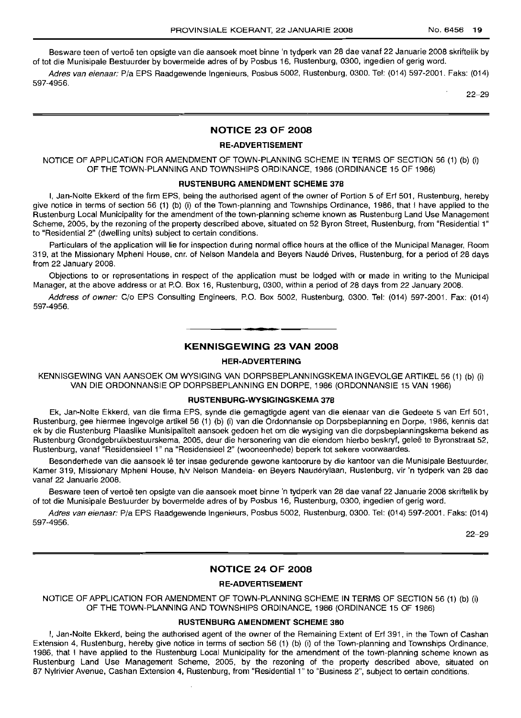Besware teen of vertoë ten opsigte van die aansoek moet binne 'n tydperk van 28 dae vanaf 22 Januarie 2008 skriftelik by of tot die Munisipale Bestuurder by bovermelde adres of by Posbus 16, Rustenburg, 0300, ingedien of gerig word.

Adres van eienaar: P/a EPS Raadgewende Ingenieurs, Posbus 5002, Rustenburg, 0300. Tel: (014) 597-2001. Faks: (014) 597-4956.

22-29

## **NOTICE 23 OF 2008**

## **RE-ADVERTISEMENT**

NOTICE OF APPLICATION FOR AMENDMENT OF TOWN-PLANNING SCHEME IN TERMS OF SECTION 56 (1) (b) (i) OF THE TOWN-PLANNING AND TOWNSHIPS ORDINANCE, 1986 (ORDINANCE 15 OF 1986)

#### **RUSTENBURG AMENDMENT SCHEME 378**

I, Jan-Nolte Ekkerd of the firm EPS, being the authorised agent of the owner of Portion 5 of Erf 501, Rustenburg, hereby give notice in terms of section 56 (1) (b) (i) of the Town-planning and Townships Ordinance, 1986, that I have applied to the Rustenburg Local Municipality for the amendment of the town-planning scheme known as Rustenburg Land Use Management Scheme, 2005, by the rezoning of the property described above, situated on 52 Byron Street, Rustenburg, from "Residential 1" to "Residential 2" (dwelling units) subject to certain conditions.

Particulars of the application will lie for inspection during normal office hours at the office of the Municipal Manager, Room 319, at the Missionary Mpheni House, em. of Nelson Mandela and Beyers Naude Drives, Rustenburg, for a period of 28 days from 22 January 2008.

Objections to or representations in respect of the application must be lodged with or made in writing to the Municipal Manager, at the above address or at P.O. Box 16, Rustenburg, 0300, within a period of 28 days from 22 January 2008.

Address of owner: C/o EPS Consulting Engineers, P.O. Box 5002, Rustenburg, 0300. Tel: (014) 597-2001. Fax: (014) 597-4956.

.**- .**

## **KENNISGEWING 23 VAN 2008**

#### **HER-ADVERTERING**

KENNISGEWING VAN AANSOEK OM WYSIGING VAN DORPSBEPLANNINGSKEMA INGEVOLGE ARTIKEL 56 (1) (b) (i) VAN DIE ORDONNANSIE OP DORPSBEPLANNING EN DORPE, 1986 (ORDONNANSIE 15 VAN 1986)

#### **RUSTENBURG-WYSIGINGSKEMA 378**

Ek, Jan-Nolte Ekkerd, van die firma EPS, synde die gemagtigde agent van die eienaar van die Gedeete 5 van Erf 501, Rustenburg, gee hiermee ingevolge artikel 56 (1) (b) (i) van die Ordonnansie op Dorpsbeplanning en Darpe, 1986, kennis dat ek by die Rustenburg Plaaslike Munisipaliteit aansoek gedoen het om die wysiging van die dorpsbeplanningskema bekend as Rustenburg Grondgebruikbestuurskema, 2005, deur die hersonering van die eiendom hierbo beskryf, geleë te Byronstraat 52, Rustenburg, vanaf "Residensieel 1" na "Residensieel 2" (wooneenhede) beperk tot sekere voorwaardes.

Besonderhede van die aansoek lê ter insae gedurende gewone kantoorure by die kantoor van die Munisipale Bestuurder, Kamer 319, Missionary Mpheni House, h/v Nelson Mandela- en Beyers Nauderylaan, Rustenburg, vir 'n tydperk van 28 dae vanaf 22 Januarie 2008.

Besware teen of vertoë ten opsigte van die aansoek moet binne 'n tydperk van 28 dae vanaf 22 Januarie 2008 skriftelik by of tot die Munisipale Bestuurder by bovermelde adres of by Posbus 16, Rustenburg, 0300, ingedien of gerig word.

Adres van eienaar: P/a EPS Raadgewende Ingenieurs, Posbus 5002, Rustenburg, 0300. Tel: (014) 597-2001. Faks: (014) 597-4956.

22-29

#### **NOTICE 24 OF 2008**

#### **RE-ADVERTISEMENT**

NOTICE OF APPLICATION FOR AMENDMENT OF TOWN-PLANNING SCHEME IN TERMS OF SECTION 56 (1) (b) (i) OF THE TOWN-PLANNING AND TOWNSHIPS ORDINANCE, 1986 (ORDINANCE 15 OF 1986)

#### **RUSTENBURG AMENDMENT SCHEME 380**

I, Jan-Nolte Ekkerd, being the authorised agent of the owner of the Remaining Extent of Erf 391, in the Town of Cashan Extension 4, Rustenburg, hereby give notice in terms of section 56 (1) (b) (i) of the Town-planning and Townships Ordinance, 1986, that I have applied to the Rustenburg Local Municipality for the amendment of the town-planning scheme known as Rustenburg Land Use Management Scheme, 2005, by the rezoning of the property described above, situated on 87 Nylrivier Avenue, Cashan Extension 4, Rustenburg, from "Residential 1" to "Business 2", subject to certain conditions.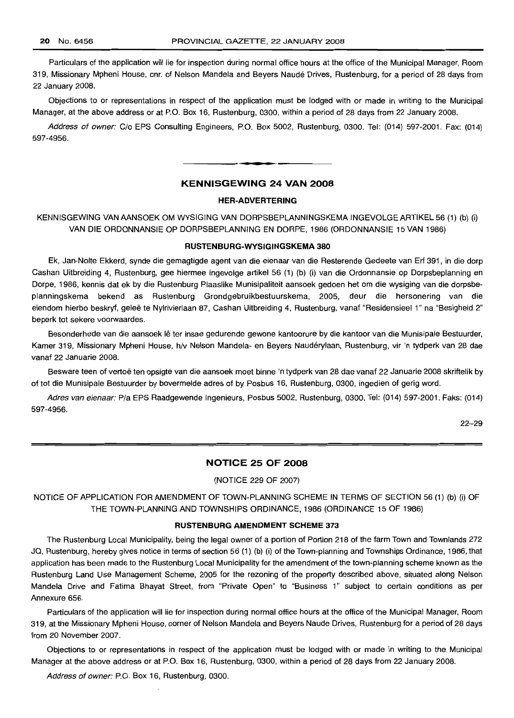Particulars of the application will lie for inspection during normal office hours at the office of the Municipal Manager, Room 319, Missionary Mpheni House, em. of Nelson Mandela and Beyers Naude Drives, Rustenburg, for a period of 28 days from 22 January 2008.

Objections to or representations in respect of the application must be lodged with or made in writing to the Municipal Manager, at the above address or at P.O. Box 16, Rustenburg, 0300, within a period of 28 days from 22 January 2008.

Address of owner: C/o EPS Consulting Engineers, P.O. Box 5002, Rustenburg, 0300. Tel: (014) 597-2001. Fax: (014) 597-4956.

**-.**

## **KENNISGEWING 24 VAN 2008**

#### **HER-ADVERTERING**

KENNISGEWING VAN AANSOEK OM WYSIGING VAN DORPSBEPLANNINGSKEMA INGEVOLGE ARTIKEL 56 (1) (b) (i) VAN DIE ORDONNANSIE OP DORPSBEPLANNING EN DORPE, 1986 (ORDONNANSIE 15 VAN 1986)

#### **RUSTENBURG-WYSIGINGSKEMA 380**

Ek, Jan-Nolte Ekkerd, synde die gemagtigde agent van die eienaar van die Resterende Gedeete van Erf 391, in die dorp Cashan Uitbreiding 4, Rustenburg, gee hiermee ingevolge artikel 56 (1) (b) (i) van die Ordonnansie op Dorpsbeplanning en Dorpe, 1986, kennis dat ek by die Rustenburg Plaaslike Munisipaliteit aansoek gedoen het om die wysiging van die dorpsbeplanningskema bekend as Rustenburg Grondgebruikbestuurskema, 2005, deur die hersonering van die eiendom hierbo beskryf, geleë te Nylrivierlaan 87, Cashan Uitbreiding 4, Rustenburg, vanaf "Residensieel 1" na "Besigheid 2" beperk tot sekere voorwaardes.

Besonderhede van die aansoek lê ter insae gedurende gewone kantoorure by die kantoor van die Munisipale Bestuurder, Kamer 319, Missionary Mpheni House, h/v Nelson Mandela- en Beyers Naudérylaan, Rustenburg, vir 'n tydperk van 28 dae vanaf 22 Januarie 2008.

Besware teen of vertoë ten opsigte van die aansoek moet binne 'n tydperk van 28 dae vanaf 22 Januarie 2008 skriftelik by of tot die Munisipale Bestuurder by bovermelde adres of by Posbus 16, Rustenburg, 0300, ingedien of gerig word.

Adres van eienaar: Pia EPS Raadgewende Ingenieurs, Posbus 5002, Rustenburg, 0300. Tel: (014) 597-2001. Faks: (014) 597-4956.

22-29

## **NOTICE 25 OF 2008**

## (NOTICE 229 OF 2007)

NOTICE OF APPLICATION FOR AMENDMENT OF TOWN-PLANNING SCHEME IN TERMS OF SECTION 56 (1) (b) (i) OF THE TOWN-PLANNING AND TOWNSHIPS ORDINANCE, 1986 (ORDINANCE 15 OF 1986)

## **RUSTENBURG AMENDMENT SCHEME 373**

The Rustenburg Local Municipality, being the legal owner of a portion of Portion 218 of the farm Town and Townlands 272 JQ, Rustenburg, hereby gives notice in terms of section 56 (1) (b) (i) of the Town-planning and Townships Ordinance, 1986, that application has been made to the Rustenburg Local Municipality for the amendment of the town-planning scheme known as the Rustenburg Land Use Management Scheme, 2005 for the rezoning of the property described above, situated along Nelson Mandela Drive and Fatima Bhayat Street, from "Private Open" to "Business 1" subject to certain conditions as per Annexure 656.

Particulars of the application will lie for inspection during normal office hours at the office of the Municipal Manager, Room 319, at the Missionary Mpheni House, corner of Nelson Mandela and Beyers Naude Drives, Rustenburg for a period of 28 days from 20 November 2007.

Objections to or representations in respect of the application must be lodged with or made in writing to the Municipal Manager at the above address or at P.O. Box 16, Rustenburg, 0300, within a period of 28 days from 22 January 2008.

Address of owner: P.O. Box 16, Rustenburg, 0300.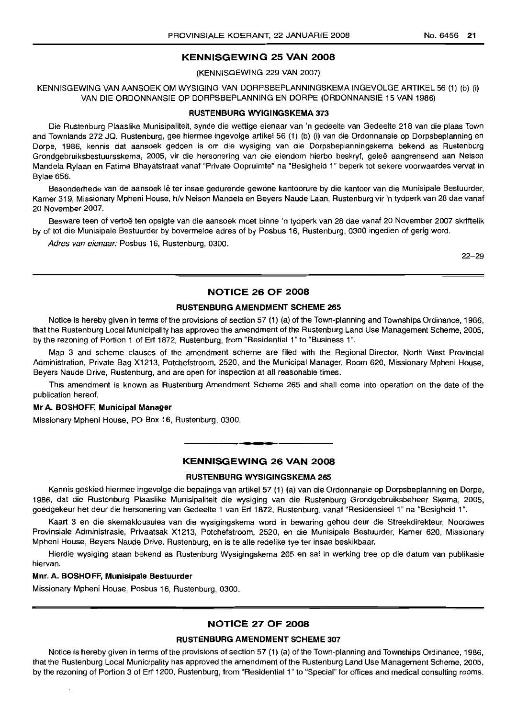#### **KENNISGEWING 25 VAN 2008**

#### (KENNISGEWING 229 VAN 2007)

KENNISGEWING VAN AANSOEK OM WYSIGING VAN DORPSBEPLANNINGSKEMA INGEVOLGE ARTIKEL 56 (1) (b) (i) VAN DIE ORDONNANSIE OP DORPSBEPLANNING EN DORPE (ORDONNANSIE 15 VAN 1986)

#### **RUSTENBURG WYIGINGSKEMA 373**

Die Rustenburg Plaaslike Munisipaliteit, synde die wettige eienaar van 'n gedeelte van Gedeelte 218 van die plaas Town and Townlands 272 JQ, Rustenburg, gee hiermee ingevolge artikel 56 (1) (b) (i) van die Ordonnansie op Dorpsbeplanning en Dorpe, 1986, kennis dat aansoek gedoen is om die wysiging van die Dorpsbeplanningskema bekend as Rustenburg Grondgebruiksbestuursskema, 2005, vir die hersonering van die eiendom hierbo beskryf, gelee aangrensend aan Nelson Mandela Rylaan en Fatima Bhayatstraat vanaf "Private Oopruimte" na "Besigheid 1" beperk tot sekere voorwaardes vervat in Bylae 656.

Besonderhede van de aansoek lê ter insae gedurende gewone kantoorure by die kantoor van die Munisipale Bestuurder, Kamer 319, Missionary Mpheni House, h/v Nelson Mandela en Beyers Naude Laan, Rustenburg vir 'n tydperk van 28 dae vanaf 20 November 2007.

Besware teen of vertoe ten opsigte van die aansoek moet binne 'n tydperk van 28 dae vanaf 20 November 2007 skriftelik by of tot die Munisipale Bestuurder by bovermelde adres of by Posbus 16, Rustenburg, 0300 ingedien of gerig word.

Adres van eienaar: Posbus 16, Rustenburg, 0300.

22-29

## **NOTICE 26 OF 2008**

#### **RUSTENBURG AMENDMENT SCHEME 265**

Notice is hereby given in terms of the provisions of section 57 (1) (a) of the Town-planning and Townships Ordinance, 1986, that the Rustenburg Local Municipality has approved the amendment of the Rustenburg Land Use Management Scheme, 2005, by the rezoning of Portion 1 of Erf 1872, Rustenburg, from "Residential 1" to "Business 1".

Map 3 and scheme clauses of the amendment scheme are filed with the Regional Director, North West Provincial Administration, Private Bag X1213, Potchefstroom, 2520, and the Municipal Manager, Room 620, Missionary Mpheni House, Beyers Naude Drive, Rustenburg, and are open for inspection at all reasonable times.

This amendment is known as Rustenburg Amendment Scheme 265 and shall come into operation on the date of the publication hereof.

#### **Mr A. BOSHOFF, Municipal Manager**

Missionary Mpheni House, PO Box 16, Rustenburg, 0300.

## **KENNISGEWING 26 VAN 2008**

.**- .**

## **RUSTENBURG WYSIGINGSKEMA 265**

Kennis geskied hiermee ingevolge die bepalings van artikel 57 (1) (a) van die Ordonnansie op Dorpsbeplanning en Dorpe, 1986, dat die Rustenburg Plaaslike Munisipaliteit die wysiging van die Rustenburg Grondgebruiksbeheer Skema, 2005, goedgekeur het deur die hersonering van Gedeelte 1 van Erf 1872, Rustenburg, vanaf "Residensieel 1" na "Besigheid 1".

Kaart 3 en die skemaklousules van die wysigingskema word in bewaring gehou deur die Streekdirekteur, Noordwes Provinsiale Administrasie, Privaatsak X1213, Potchefstroom, 2520, en die Munisipale Bestuurder, Kamer 620, Missionary Mpheni House, Beyers Naude Drive, Rustenburg, en is te aile redelike tye ter insae beskikbaar.

Hierdie wysiging staan bekend as Rustenburg Wysigingskema 265 en sal in werking tree op die datum van publikasie hiervan.

#### **Mnr. A. BOSHOFF, Munisipale Bestuurder**

Missionary Mpheni House, Posbus 16, Rustenburg, 0300.

## **NOTICE 27 OF 2008**

#### **RUSTENBURG AMENDMENT SCHEME 307**

Notice is hereby given in terms of the provisions of section 57 (1) (a) of the Town-planning and Townships Ordinance, 1986, that the Rustenburg Local Municipality has approved the amendment of the Rustenburg Land Use Management Scheme, 2005, by the rezoning of Portion 3 of Erf 1200, Rustenburg, from "Residential 1"to "Special" for offices and medical consulting rooms.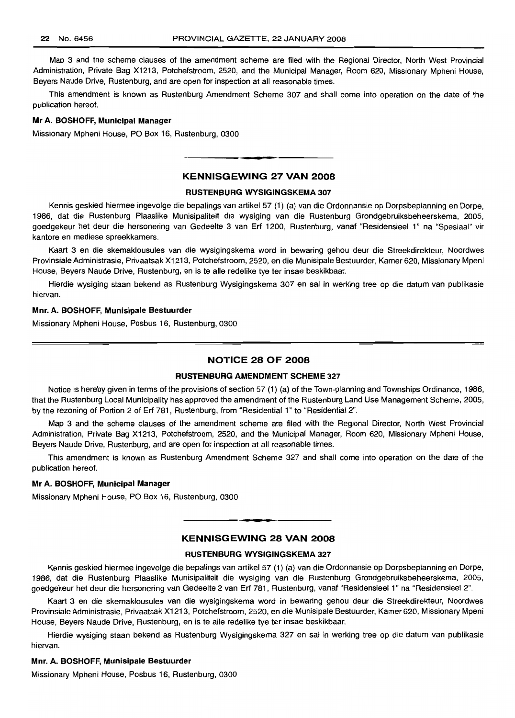Map 3 and the scheme clauses of the amendment scheme are filed with the Regional Director, North West Provincial Administration, Private Bag X1213, Potchefstroom, 2520, and the Municipal Manager, Room 620, Missionary Mpheni House, Beyers Naude Drive, Rustenburg, and are open for inspection at all reasonable times.

This amendment is known as Rustenburg Amendment Scheme 307 and shall come into operation on the date of the publication hereof.

#### Mr A. BOSHOFF, Municipal Manager

Missionary Mpheni House, PO Box 16, Rustenburg, 0300

## KENNISGEWING 27 VAN 2008

**•**

#### RUSTENBURG WYSIGINGSKEMA 307

Kennis geskied hiermee ingevolge die bepalings van artikel 57 (1) (a) van die Ordonnansie op Dorpsbeplanning en Dorpe, 1986, dat die Rustenburg Plaaslike Munisipaliteit die wysiging van die Rustenburg Grondgebruiksbeheerskema, 2005, goedgekeur het deur die hersonering van Gedeelte 3 van Erf 1200, Rustenburg, vanaf "Residensieel 1" na "Spesiaal" vir kantore en mediese spreekkamers.

Kaart 3 en die skemaklousules van die wysigingskema word in bewaring gehou deur die Streekdirekteur, Noordwes Provinsiale Administrasie, Privaatsak X1213, Potchefstroom, 2520, en die Munisipale Bestuurder, Kamer 620, Missionary Mpeni House, Beyers Naude Drive, Rustenburg, en is te aile redelike tye ter insae beskikbaar.

Hierdie wysiging staan bekend as Rustenburg Wysigingskema 307 en sal in werking tree op die datum van publikasie hiervan.

#### Mm. A. BOSHOFF, Munisipale Bestuurder

Missionary Mpheni House, Posbus 16, Rustenburg, 0300

#### NOTICE 28 OF 2008

#### RUSTENBURG AMENDMENT SCHEME 327

Notice is hereby given in terms of the provisions of section 57 (1) (a) of the Town-planning and Townships Ordinance, 1986, that the Rustenburg Local Municipality has approved the amendment of the Rustenburg Land Use Management Scheme, 2005, by the rezoning of Portion 2 of Erf 781, Rustenburg, from "Residential 1" to "Residential 2".

Map 3 and the scheme clauses of the amendment scheme are filed with the Regional Director, North West Provincial Administration, Private Bag X1213, Potchefstroom, 2520, and the Municipal Manager, Room 620, Missionary Mpheni House, Beyers Naude Drive, Rustenburg, and are open for inspection at all reasonable times.

This amendment is known as Rustenburg Amendment Scheme 327 and shall come into operation on the date of the publication hereof.

#### Mr A. BOSHOFF, Municipal Manager

Missionary Mpheni House, PO Box 16, Rustenburg, 0300

## KENNISGEWING 28 VAN 2008

**• a**

## RUSTENBURG WYSIGINGSKEMA 327

Kennis geskied hiermee ingevolge die bepalings van artikel 57 (1) (a) van die Ordonnansie op Dorpsbeplanning en Dorpe, 1986, dat die Rustenburg Plaaslike Munisipaliteit die wysiging van die Rustenburg Grondgebruiksbeheerskema, 2005, goedgekeur het deur die hersonering van Gedeelte 2 van Erf 781, Rustenburg, vanaf "ResidensieeI1" na "Residensieel 2".

Kaart 3 en die skemaklousules van die wysigingskema word in bewaring gehou deur die Streekdirekteur, Noordwes Provinsiale Administrasie, Privaatsak X1213, Potchefstroom, 2520, en die Munisipale Bestuurder, Kamer 620, Missionary Mpeni House, Beyers Naude Drive, Rustenburg, en is te aile redelike tye ter insae beskikbaar.

Hierdie wysiging staan bekend as Rustenburg Wysigingskema 327 en sal in werking tree op die datum van publikasie hiervan.

#### Mnr. A. BOSHOFF, Munisipale Bestuurder

Missionary Mpheni House, Posbus 16, Rustenburg, 0300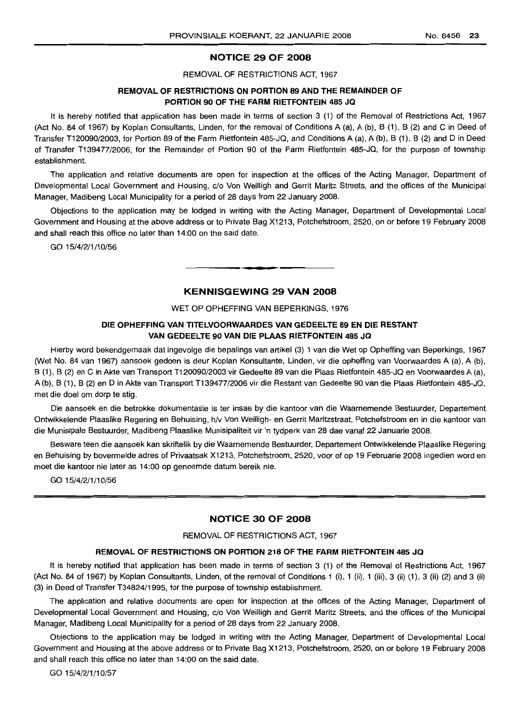#### **NOTICE 29 OF 2008**

REMOVAL OF RESTRICTIONS ACT, 1967

## **REMOVAL OF RESTRICTIONS ON PORTION 89 AND THE REMAINDER OF PORTION 90 OF THE FARM RIETFONTEIN 485 JQ**

It is hereby notified that application has been made in terms of section 3 (1) of the Removal of Restrictions Act, 1967 (Act No. 84 of 1967) by Koplan Consultants, Linden, for the removal of Conditions A (a), A (b), B (1), B (2) and C in Deed of Transfer T120090/2003, for Portion 89 of the Farm Rietfontein 485-JQ, and Conditions A (a), A (b), B (1), B (2) and D in Deed of Transfer T139477/2006, for the Remainder of Portion 90 of the Farm Rietfontein 485-JQ, for the purpose of township establishment.

The application and relative documents are open for inspection at the offices of the Acting Manager, Department of Developmental Local Government and Housing, c/o Von Weilligh and Gerrit Maritz Streets, and the offices of the Municipal Manager, Madibeng Local Municipality for a period of 28 days from 22 January 2008.

Objections to the application may be lodged in writing with the Acting Manager, Department of Developmental Local Government and Housing at the above address or to Private Bag X1213, Potchefstroom, 2520, on or before 19 February 2008 and shall reach this office no later than 14:00 on the said date.

GO 15/4/2/1/10/56

## **KENNISGEWING 29 VAN 2008**

**• •**

#### WET OP OPHEFFING VAN BEPERKINGS, 1976

## **DIE OPHEFFING VAN TITELVOORWAARDES VAN GEDEELTE 89 EN DIE RESTANT VAN GEDEELTE 90 VAN DIE PLAAS RIETFONTEIN 485 JQ**

Hierby word bekendgemaak dat ingevolge die bepalings van artikel (3) 1 van die Wet op Opheffing van Beperkings, 1967 (Wet No. 84 van 1967) aansoek gedoen is deur Koplan Konsultante, Linden, vir die opheffing van Voorwaardes A (a), A (b), B (1), B (2) en C in Akte van Transport T120090/2003 vir Gedeelte 89 van die Plaas Rietfontein 485-JQ en Voorwaardes A (a), A (b), B (1), B (2) en D in Akte van Transport T139477/2006 vir die Restant van Gedeelte 90 van die Plaas Rietfontein 485-JQ, met die doel om dorp te stig.

Die aansoek en die betrokke dokumentasie is ter insae by die kantoor van die Waarnemende Bestuurder, Departement Ontwikkelende Plaaslike Regering en Behuising, h/v Von Weilligh- en Gerrit Maritzstraat, Potchefstroom en in die kantoor van die Munisipale Bestuurder, Madibeng Plaaslike Munisipaliteit vir 'n tydperk van 28 dae vanaf 22 Januarie 2008.

Besware teen die aansoek kan skriftelik by die Waarnemende Bestuurder, Departement Ontwikkelende Plaaslike Regering en Behuising by bovermelde adres of Privaatsak X1213, Potchefstroom, 2520, voor of op 19 Februarie 2008 ingedien word en moet die kantoor nie later as 14:00 op genoemde datum bereik nie.

GO 15/4/2/1/10/56

## **NOTICE 30 OF 2008**

#### REMOVAL OF RESTRICTIONS ACT, 1967

#### **REMOVAL OF RESTRICTIONS ON PORTION 218 OF THE FARM RIETFONTEIN 485 JQ**

It is hereby notified that application has been made in terms of section 3 (1) of the Removal of Restrictions Act, 1967 (Act No. 84 of 1967) by Koplan Consultants, Linden, of the removal of Conditions 1 (i), 1 (ii), 1 (iii), 3 (ii) (1), 3 (ii) (2) and 3 (ii) (3) in Deed of Transfer T34824/1995, for the purpose of township establishment.

The application and relative documents are open for inspection at the offices of the Acting Manager, Department of Developmental Local Government and Housing, c/o Von Weilligh and Gerrit Maritz Streets, and the offices of the Municipal Manager, Madibeng Local Municipality for a period of 28 days from 22 January 2008.

Objections to the application may be lodged in writing with the Acting Manager, Department of Developmental Local Government and Housing at the above address or to Private Bag X1213, Potchefstroom, 2520, on or before 19 February 2008 and shall reach this office no later than 14:00 on the said date.

GO 15/4/2/1/10/57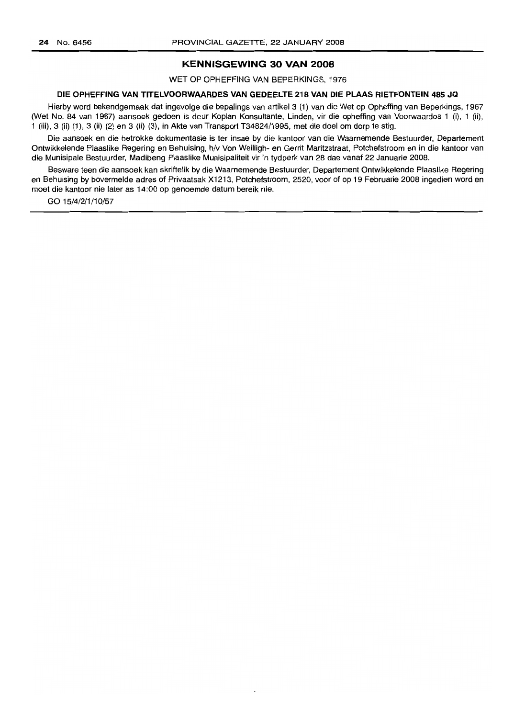## **KENNISGEWING 30 VAN 2008**

WET OP OPHEFFING VAN BEPERKINGS, 1976

#### **DIE OPHEFFING VAN TITELVOORWAARDES VAN GEDEELTE 218 VAN DIE PLAAS RIETFONTEIN 485 JQ**

Hierby word bekendgemaak dat ingevolge die bepalings van artikel 3 (1) van die Wet op Opheffing van Beperkings, 1967 (Wet No. 84 van 1967) aansoek gedoen is deur Koplan Konsultante, Linden, vir die opheffing van Voorwaardes 1 (i), 1 (ii), 1 (iii), 3 (ii) (1), 3 (ii) (2) en 3 (ii) (3), in Akte van Transport T34824/1995, met die doel om dorp te stig.

Die aansoek en die betrokke dokumentasie is ter insae by die kantoor van die Waarnemende Bestuurder, Departement Ontwikkelende Plaaslike Regering en Behuising, h/v Von Weilligh- en Gerrit Maritzstraat, Potchefstroom en in die kantoor van die Munisipale Bestuurder, Madibeng Plaaslike Munisipaliteit vir 'n tydperk van 28 dae vanaf 22 Januarie 2008.

Besware teen die aansoek kan skriftelik by die Waarnemende Bestuurder, Departement Ontwikkelende Plaaslike Regering en Behuising by bovermelde adres of Privaatsak X1213, Potchefstroom, 2520, voor of op 19 Februarie 2008 ingedien word en moet die kantoor nie later as 14:00 op genoemde datum bereik nie.

GO 15/4/2/1/10/57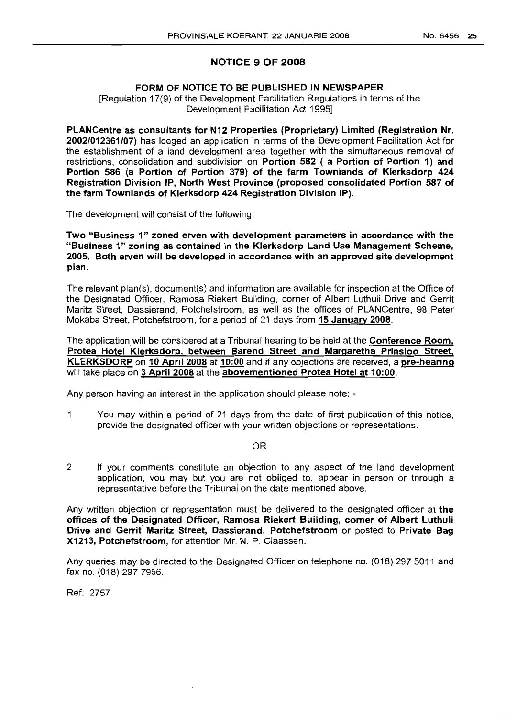## **NOTICE 9 OF 2008**

## **FORM OF NOTICE TO BE PUBLISHED IN NEWSPAPER**

[Regulation 17(9) of the Development Facilitation Regulations in terms of the Development Facilitation Act 1995]

**PLANCentre as consultants for N12 Properties (Proprietary) Limited (Registration Nr. 2002/012361/07)** has lodged an application in terms of the Development Facilitation Act for the establishment of a land development area together with the simultaneous removal of restrictions, consolidation and subdivision on **Portion 582 ( a Portion of Portion 1) and Portion 586 (a Portion of Portion 379) of the farm Townlands of Klerksdorp 424 Registration Division 'P, North West Province (proposed consolidated Portion 587 of the farm Townlands of Klerksdorp 424 Registration Division IP).**

The development will consist of the following:

**Two "Business 1" zoned erven with development parameters in accordance with the "Business 1" zoning as contained in the Klerksdorp Land Use Management Scheme, 2005. Both erven will be developed in accordance with an approved site development plan.**

The relevant plan(s), document(s) and information are available for inspection at the Office of the Designated Officer, Ramosa Riekert Building, corner of Albert Luthuli Drive and Gerrit Maritz Street, Dassierand, Potchefstroom, as well as the offices of PLANCentre, 98 Peter Mokaba Street, Potchefstroom, for a period of 21 days from **15 January 2008.**

The application will be considered at a Tribunal hearing to be held at the **Conference Room**, **Protea Hotel Klerksdorp, between Barend Street and Margaretha Prinsloo Street, KLERKSDORP on 10 April 2008 at 10:00** and jf any objections are received, a **pre-hearing** will take place on **3 April 2008** at the **abovementioned Protea Hotel at 10:00.**

Any person having an interest in the application should please note: -

1 You may within a period of 21 days from the date of first publication of this notice, provide the designated officer with your written objections or representations.

OR

2 If your comments constitute an objection to any aspect of the land development application, you may but you are not obliged to, appear in person or through a representative before the Tribunal on the date mentioned above.

Any written objection or representation must be delivered to the designated officer at **the offices of the Designated Officer, Ramosa Riekert Building, corner of Albert Luthuli Drive and Gerrit Maritz Street, Dassierand, Potchefstroom** or posted to **Private Bag X1213, Potchefstroom,** for attention Mr. N. P. Claassen.

Any queries may be directed to the Designated Officer on telephone no. (018) 297 5011 and fax no. (018) 297 7956.

Ref. 2757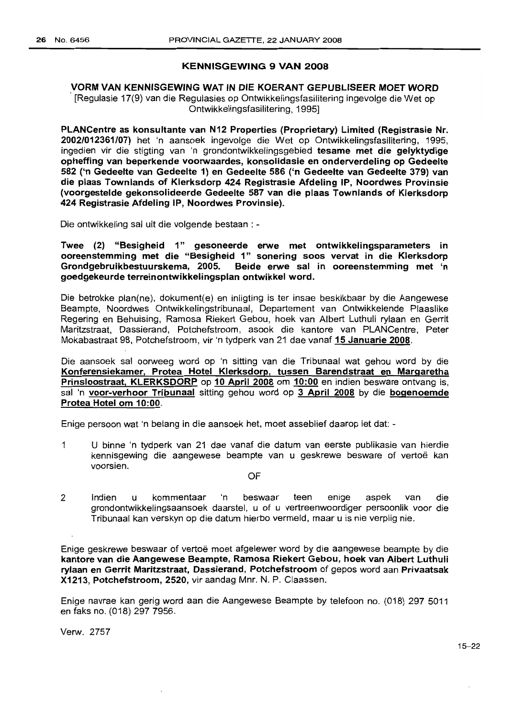## **KENNISGEWING 9 VAN** 2008

## VORM VAN KENNISGEWING WAT IN DIE KOERANT GEPUBLISEER MOET WORD . [Regulasie 17(9) van die Regulasies op Ontwikkelingsfasilitering ingevolge die Wet op Ontwikkelingsfasilitering, 1995]

PLANCentre as konsultante van N12 Properties (Proprietary) Limited (Registrasie Nr. 2002/012361/07) het 'n aansoek ingevolge die Wet op Ontwikkelingsfasilitering, 1995, ingedien vir die stigting van 'n grondontwikkelingsgebied tesame met die gelyktydige opheffing van beperkende voorwaardes, konsolidasie en onderverdeling op Gedeelte 582 ('n Gedeelte van Gedeelte 1) en Gedeelte 586 ('n Gedeelte van Gedeelte 379) van die plaas Townlands of Klerksdorp 424 Registrasie Afdeling IP, Noordwes Provinsie (voorgestelde gekonsolideerde Gedeelte 587 van die plaas Townlands of Klerksdorp 424 Registrasie Afdeling IP, Noordwes Provinsie).

Die ontwikkeling sal uit die volgende bestaan : -

Twee (2) "Besigheid 1" gesoneerde erwe met ontwikkelingsparameters in ooreenstemming met die "Besigheid 1" sonering soos vervat in die Klerksdorp Grondgebruikbestuurskema, 2005. Beide erwe sal in ooreenstemming met 'n goedgekeurde terreinontwikkelingsplan ontwikkel word.

Die betrokke plan(ne), dokument(e) en inligting is ter insae beskikbaar by die Aangewese Beampte, Noordwes Ontwikkelingstribunaal, Departement van Ontwikkelende Plaaslike Regering en Behuising, Ramosa Riekert Gebou, hoek van Albert Luthuli rylaan en Gerrit Maritzstraat, Dassierand, Potchefstroom, asook die kantore van PLANCentre, Peter Mokabastraat 98, Potchefstroom, vir 'n tydperk van 21 dae vanaf 15 Januarie 2008.

Die aansoek sal oorweeg word op 'n sitting van die Tribunaal wat gehou word by die Konferensiekamer, Protea Hotel Klerksdorp, tussen Barendstraat en Margaretha Prinsloostraat, KLERKSDORP op 10 April 2008 om 10:00 en indien besware ontvang is, sal 'n voor-verhoor Tribunaal sitting gehou word op 3 April 2008 by die bogenoemde Protea Hotel om 10:00.

Enige persoon wat 'n belang in die aansoek het, moet asseblief daarop let dat: -

1 U binne 'n tydperk van 21 dae vanaf die datum van eerste publikasie van hierdie kennisgewing die aangewese beampte van u geskrewe besware of vertoe kan voorsien.

OF

2 Indien u kommentaar 'n beswaar teen enige aspek van die grondontwikkelingsaansoek daarstel, u of u vertreenwoordiger persoonlik voor die Tribunaal kan verskyn op die datum hierbo vermeld, maar u is nie verplig nie.

Enige geskrewe beswaar of vertoe moet afgelewer word by die aangewese beampte by die kantore van die Aangewese Beampte, Ramosa Riekert Gebou, hoek van Albert Luthuli rylaan en Gerrit Maritzstraat, Dassierand, Potchefstroom of gepos word aan Privaatsak X1213, Potchefstroom, 2520, vir aandag Mm. N. P. Claassen.

Enige navrae kan gerig word aan die Aangewese Beampte by telefoon no. (018) 297 5011 en faks no. (018) 297 7956.

Verw. 2757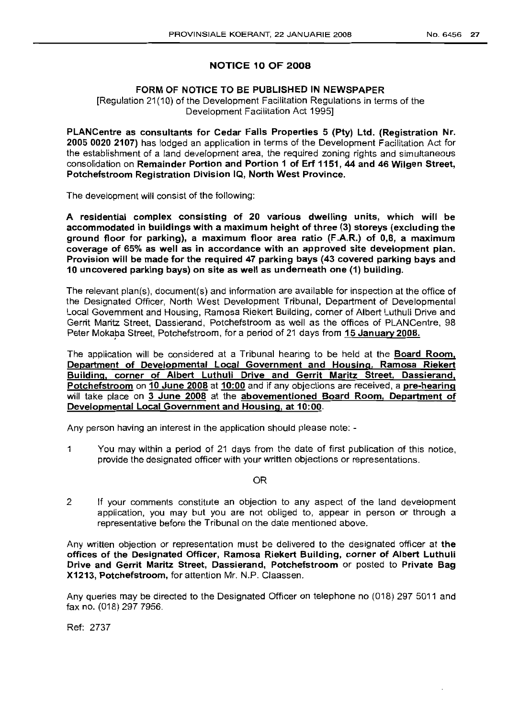## NOTICE 10 OF 2008

## FORM OF NOTICE TO BE PUBLISHED IN NEWSPAPER

[Regulation 21(10) of the Development Facilitation Regulations in terms of the Development Facilitation Act 1995]

PLANCentre as consultants for Cedar Falls Properties 5 (Pty) Ltd. (Registration Nr. 2005 0020 2107) has lodged an application in terms of the Development Facilitation Act for the establishment of a land development area, the required zoning rights and simultaneous consolidation on Remainder Portion and Portion 1 of Erf 1151, 44 and 46 Wilgen Street, Potchefstroom Registration Division IQ, North West Province.

The development will consist of the following:

A residential complex consisting of 20 various dwelling units, which will be accommodated in buildings with a maximum height of three (3) storeys (excluding the ground floor for parking), a maximum floor area ratio (F.A.R.) of 0,8, a maximum coverage of 65% as well as in accordance with an approved site development plan. Provision will be made for the required 47 parking bays (43 covered parking bays and 10 uncovered parking bays) on site as well as underneath one (1) building.

The relevant plan(s), document(s) and information are available for inspection at the office of the Designated Officer, North West Development Tribunal, Department of Developmental Local Government and Housing, Ramosa Riekert Building, corner of Albert Luthuli Drive and Gerrit Maritz Street, Dassierand, Potchefstroom as well as the offices of PLANCentre, 98 Peter Mokaba Street, Potchefstroom, for a period of 21 days from 15 January 2008.

The application will be considered at a Tribunal hearing to be held at the **Board Room**, Department of Developmental Local Government and Housing. Ramosa Riekert Building, corner of Albert Luthuli Drive and Gerrit Maritz Street. Dassierand, Potchefstroom on 10 June 2008 at 10:00 and if any objections are received, a pre-hearing will take place on 3 June 2008 at the abovementioned Board Room, Department of Developmental Local Government and Housing, at 10:00.

Any person having an interest in the application should please note: -

1 You may within a period of 21 days from the date of first publication of this notice, provide the designated officer with your written objections or representations.

## OR

2 If your comments constitute an objection to any aspect of the land development application, you may but you are not obliged to, appear in person or through a representative before the Tribunal on the date mentioned above.

Any written objection or representation must be delivered to the designated officer at the offices of the Designated Officer, Ramosa Riekert Building, corner of Albert Luthuli Drive and Gerrit Maritz Street, Dassierand, Potchefstroom or posted to Private Bag X1213, Potchefstroom, for attention Mr. N.P. Claassen.

Any queries may be directed to the Designated Officer on telephone no (018) 297 5011 and fax no. (018) 297 7956.

Ref: 2737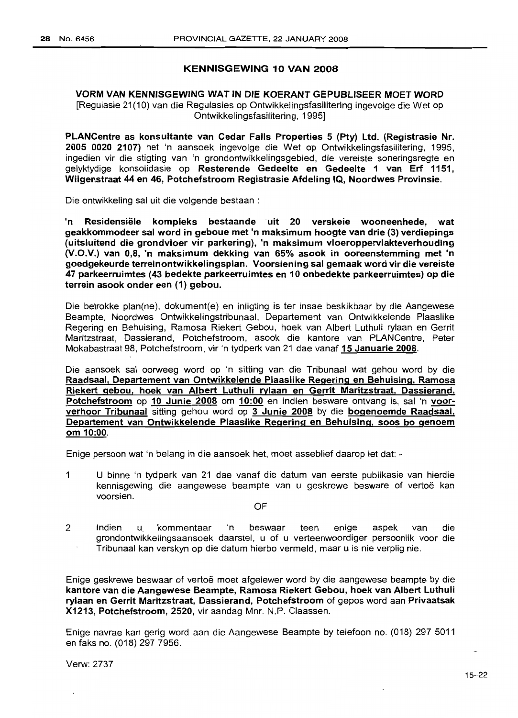## KENNISGEWING 10 VAN 2008

## VORM VAN KENNISGEWING WAT IN DIE KOERANT GEPUBLISEER MOET WORD [Regulasie 21(10) van die Regulasies op Ontwikkelingsfasilitering ingevolge die Wet op Ontwikkelingsfasilitering, 1995]

PLANCentre as konsultante van Cedar Falls Properties 5 (Pty) Ltd. (Registrasie Nr. 2005 0020 2107) het 'n aansoek ingevolge die Wet op Ontwikkelingsfasilitering, 1995, ingedien vir die stigting van 'n grondontwikkelingsgebied, die vereiste soneringsregte en gelyktydige konsolidasie op Resterende Gedeelte en Gedeelte 1 van Erf 1151, Wilgenstraat 44 en 46, Potchefstroom Registrasie Afdeling IQ, Noordwes Provinsie.

Die ontwikkeling sal uit die volgende bestaan :

'n Residensiële kompleks bestaande uit 20 verskeie wooneenhede, wat geakkommodeer sal word in geboue met 'n maksimum hoogte van drie (3) verdiepings (uitsluitend die grondvloer vir parkering), 'n maksimum vloeroppervlakteverhouding (V.O.V.) van 0,8, 'n maksimum dekking van 65% asook in ooreenstemming met 'n goedgekeurde terreinontwikkelingsplan. Voorsiening sal gemaak word vir die vereiste 47 parkeerruimtes (43 bedekte parkeerruimtes en 10 onbedekte parkeerruimtes) op die terrein asook onder een (1) gebou.

Die betrokke plan(ne), dokument(e) en inligting is ter insae beskikbaar by die Aangewese Beampte, Noordwes Ontwikkelingstribunaal, Departement van Ontwikkelende Plaaslike Regering en Behuising, Ramosa Riekert Gebou, hoek van Albert Luthuli rylaan en Gerrit Maritzstraat, Dassierand, Potchefstroom, asook die kantore van PLANCentre, Peter Mokabastraat 98, Potchefstroom, vir 'n tydperk van 21 dae vanaf 15 Januarie 2008.

Die aansoek sal oorweeg word op 'n sitting van die Tribunaal wat gehou word by die Raadsaal, Departement van Ontwikkelende Plaaslike Regering en Behuising, Ramosa Riekert gebou, hoek van Albert Luthuli rylaan en Gerrit Maritzstraat. Dassierand, Potchefstroom op 10 Junie 2008 om 10:00 en indien besware ontvang is, sal 'n voorverhoor Tribunaal sitting gehou word op 3 Junie 2008 by die bogenoemde Raadsaal, Departement van Ontwikkelende Plaaslike Regering en Behuising, soos bo genoem om 10:00.

Enige persoon wat 'n belang in die aansoek het, moet asseblief daarop let dat: -

1 U binne 'n tydperk van 21 dae vanaf die datum van eerste publikasie van hierdie kennisgewing die aangewese beampte van u geskrewe besware of vertoë kan voorsien.

OF

2 Indien u kommentaar 'n beswaar teen enige aspek van die grondontwikkelingsaansoek daarstel, u of u verteenwoordiger persoonlik voor die Tribunaal kan verskyn op die datum hierbo vermeld, maar u is nie verplig nie.

Enige geskrewe beswaar of vertoe moet afgelewer word by die aangewese beampte by die kantore van die Aangewese Beampte, Ramosa Riekert Gebou, hoek van Albert Luthuli rylaan en Gerrit Maritzstraat, Dassierand, Potchefstroom of gepos word aan Privaatsak X1213, Potchefstroom, 2520, vir aandag Mnr. N.P. Claassen.

Enige navrae kan gerig word aan die Aangewese Beampte by telefoon no. (018) 297 5011 en faks no. (018) 297 7956.

Verw: 2737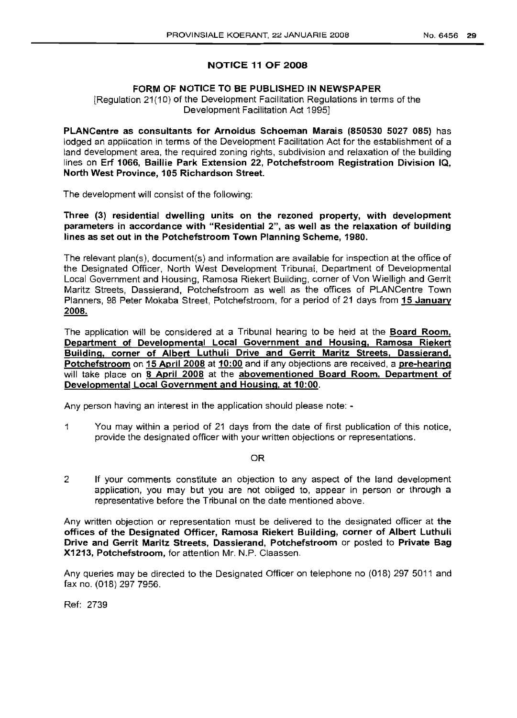## NOTICE 11 OF 2008

## FORM OF NOTICE TO BE PUBLISHED IN NEWSPAPER

[Regulation 21(10) of the Development Facilitation Regulations in terms of the Development Facilitation Act 1995]

PLANCentre as consultants for Arnoldus Schoeman Marais (850530 5027 085) has lodged an application in terms of the Development Facilitation Act for the establishment of a land development area, the required zoning rights, subdivision and relaxation of the building lines on Erf 1066, Baillie Park Extension 22, Potchefstroom Registration Division IQ, North West Province, 105 Richardson Street.

The development will consist of the following:

Three (3) residential dwelling units on the rezoned property, with development parameters in accordance with "Residential 2", as well as the relaxation of building lines as set out in the Potchefstroom Town Planning Scheme, 1980.

The relevant plan(s), document(s) and information are available for inspection at the office of the Designated Officer, North West Development Tribunal, Department of Developmental Local Government and Housing, Ramosa Riekert Building, corner of Von Wielligh and Gerrit Maritz Streets, Dassierand, Potchefstroom as well as the offices of PLANCentre Town Planners, 98 Peter Mokaba Street, Potchefstroom, for a period of 21 days from 15 January 2008.

The application will be considered at a Tribunal hearing to be held at the **Board Room**, Department of Developmental Local Government and Housing, Ramosa Riekert Building, corner of Albert Luthuli Drive and Gerrit Maritz Streets. Dassierand. Potchefstroom on 15 April 2008 at 10:00 and if any objections are received, a pre-hearing will take place on 8 April 2008 at the abovementioned Board Room. Department of Developmental Local Government and Housing. at 10:00.

Any person having an interest in the application should please note: -

1 You may within a period of 21 days from the date of first publication of this notice, provide the designated officer with your written objections or representations.

## OR

2 If your comments constitute an objection to any aspect of the land development application, you may but you are not obliged to, appear in person or through a representative before the Tribunal on the date mentioned above.

Any written objection or representation must be delivered to the designated officer at the offices of the Designated Officer, Ramosa Riekert Building, corner of Albert Luthuli Drive and Gerrit Maritz Streets, Dassierand, Potchefstroom or posted to Private Bag X1213, Potchefstroom, for attention Mr. N.P. Claassen.

Any queries may be directed to the Designated Officer on telephone no (018) 297 5011 and fax no. (018) 297 7956.

Ref: 2739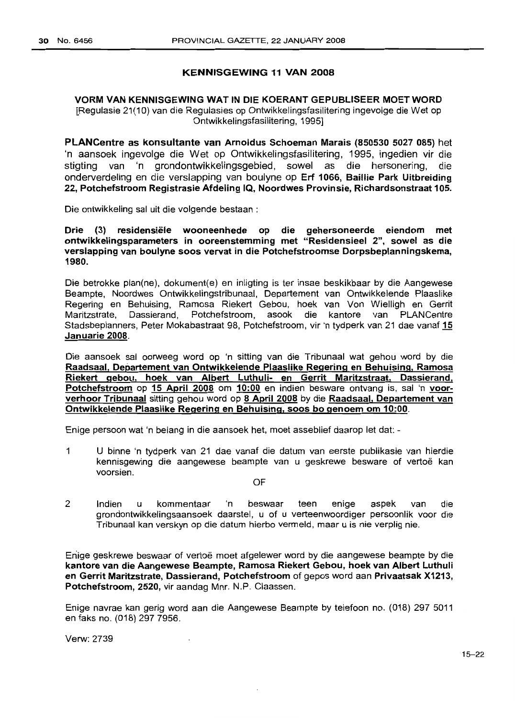## KENNISGEWING 11 VAN 2008

## VORM VAN KENNISGEWING WAT IN DIE KOERANT GEPUBLISEER MOETWORD [Regulasie 21(10) van die Regulasies op Ontwikkelingsfasilitering ingevolge die Wet op Ontwikkelingsfasilitering, 1995]

PLANCentre as konsultante van Arnoldus Schoeman Marais (850530 5027 085) het 'n aansoek ingevolge die Wet op Ontwikkelingsfasilitering, 1995, ingedien vir die stigting van 'n grondontwikkelingsgebied, sowel as die hersonering, die onderverdeling en die verslapping van boulyne op Erf 1066, Baillie Park Uitbreiding 22, Potchefstroom Registrasie Afdeling IQ, Noordwes Provinsie, Richardsonstraat 105.

Die ontwikkeling sal uit die volgende bestaan :

Drie (3) residensiële wooneenhede op die gehersoneerde eiendom met ontwikkelingsparameters in ooreenstemming met "Residensieel 2", sowel as die verslapping van boulyne soos vervat in die Potchefstroomse Dorpsbeplanningskema, 1980.

Die betrokke plan(ne), dokument(e) en inligting is ter insae beskikbaar by die Aangewese Beampte, Noordwes Ontwikkelingstribunaal, Departement van Ontwikkelende Plaaslike Regering en Behuising, Ramosa Riekert Gebou, hoek van Von Wielligh en Gerrit Maritzstrate, Dassierand, Potchefstroom, asook die kantore van PLANCentre Stadsbeplanners, Peter Mokabastraat 98, Potchefstroom, vir 'n tydperk van 21 dae vanaf 15 Januarie 2008.

Die aansoek sal oorweeg word op 'n sitting van die Tribunaal wat gehou word by die Raadsaal, Departement van Ontwikkelende Plaaslike Regering en Behuising, Ramosa Riekert gebou, hoek van Albert Luthuli- en Gerrit Maritzstraat, Dassierand, Potchefstroom op 15 April 2008 om 10:00 en indien besware ontvang is, sal 'n voorverhoor Tribunaal sitting gehou word op 8 April 2008 by die Raadsaal. Departement van Ontwikkelende Plaaslike Regering en Behuising. soos bo genoem om 10:00.

Enige persoon wat 'n belang in die aansoek het, moet asseblief daarop let dat: -

1 U binne 'n tydperk van 21 dae vanaf die datum van eerste publikasie van hierdie kennisgewing die aangewese beampte van u geskrewe besware of vertoë kan voorsien.

OF

2 Indien u kommentaar 'n beswaar teen enige aspek van die grondontwikkelingsaansoek daarstel, u of u verteenwoordiger persoonlik voor die Tribunaalkan verskyn op die datum hierbo vermeld, maar u is nie verplig nie.

Eriige geskrewe beswaar of vertoe moet afgelewer word by die aangewese beampte by die kantore van die Aangewese Beampte, Ramosa Riekert Gebou, hoek van Albert Luthuli en Gerrit Maritzstrate, Dassierand, Potchefstroom of gepos word aan Privaatsak X1213, Potchefstroom, 2520, vir aandag Mnr. N.P. Claassen.

Enige navrae kan gerig word aan die Aangewese Beampte by telefoon no. (018) 297 5011 en faks no. (018) 297 7956.

Verw: 2739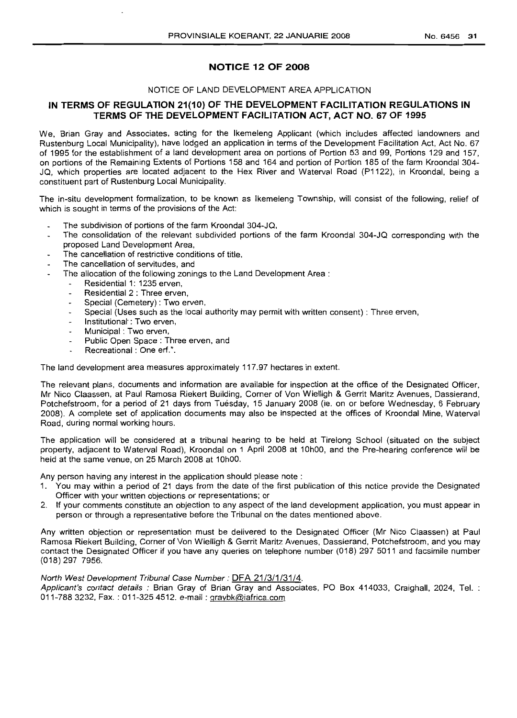## **NOTICE 12 OF 2008**

## NOTICE OF LAND DEVELOPMENT AREA APPLICATION

## **IN TERMS OF REGULATION 21(10) OF THE DEVELOPMENT FACILITATION REGULATIONS IN TERMS OF THE DEVELOPMENT FACILITATION ACT, ACT NO. 67 OF 1995**

We, Brian Gray and Associates, acting for the Ikemeleng Applicant (which includes affected landowners and Rustenburg Local Municipality), have lodged an application in terms of the Development Facilitation Act, Act No. 67 of 1995 for the establishment of a land development area on portions of Portion 53 and 99, Portions 129 and 157, on portions of the Remaining Extents of Portions 158 and 164 and portion of Portion 185 of the farm Kroondal 304- JQ, which properties are located adjacent to the Hex River and Waterval Road (P1122), in Kroondal, being a constituent part of Rustenburg Local Municipality.

The in-situ development formalization, to be known as Ikemeleng Township, will consist of the following, relief of which is sought in terms of the provisions of the Act:

- The subdivision of portions of the farm Kroondal 304-JQ,
- The consolidation of the relevant subdivided portions of the farm Kroondal 304-JQ corresponding with the proposed Land Development Area,
- The cancellation of restrictive conditions of title,
- The cancellation of servitudes, and
- The allocation of the following zonings to the Land Development Area:
	- Residential 1: 1235 erven,
	- Residential 2 : Three erven,
	- Special (Cemetery) : Two erven,
	- Special (Uses such as the local authority may permit with written consent) : Three erven,
	- Institutional' : Two erven,
	- Municipal: Two erven,
	- Public Open Space: Three erven, and
	- Recreational: One erf.".

The land development area measures approximately 117.97 hectares in extent.

The relevant plans, documents and information are available for inspection at the office of the Designated Officer, Mr Nico Claassen, at Paul Ramosa Riekert Building, Corner of Von Wielligh & Gerrit Maritz Avenues, Dassierand, Potchefstroom, for a period of 21 days from Tuesday, 15 January 2008 (ie. on or before Wednesday, 6 February 2008). A complete set of application documents may also be inspected at the offices of Kroondal Mine, Waterval Road, during normal working hours.

The application will be considered at a tribunal hearing to be held at Tirelong School (situated on the subject property, adjacent to Waterval Road), Kroondal on 1 April 2008 at 10hOO, and the Pre-hearing conference will be held at the same venue, on 25 March 2008 at 10hOO.

Any person having any interest in the application should please note:

- 1. You may within a period of 21 days from the date of the first publication of this notice provide the Designated Officer with your written objections or representations; or
- 2. If your comments constitute an objection to any aspect of the land development application, you must appear in person or through a representative before the Tribunal on the dates mentioned above.

Any written objection or representation must be delivered to the Designated Officer (Mr Nico Claassen) at Paul Ramosa Riekert Building, Corner of Von Wielligh & Gerrit Maritz Avenues, Dassierand, Potchefstroom, and you may contact the Designated Officer if you have any queries on telephone number (018) 297 5011 and facsimile number (018) 297 7956.

#### North West Development Tribunal Case Number: DFA 21/3/1/31/4.

Applicant's contact details: Brian Gray of Brian Gray and Associates, PO Box 414033, Craighall, 2024, Tel. : 011-788 3232, Fax. : 011-325 4512. e-mail : graybk@iafrica.com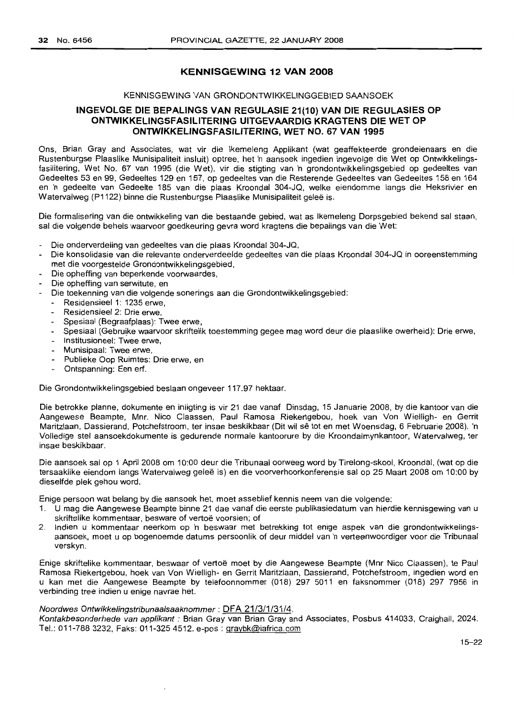## **KENNISGEWING 12 VAN 2008**

#### KENNISGEWING VAN GRONDONTWIKKELINGGEBIED SAANSOEK

## **INGEVOLGE DIE BEPALINGS VAN REGULASIE 21(10) VAN DIE REGLILASIES OP ONTWIKKELlNG5FASILITERING UITGEVAARDIG KRAGTENS DIE WET OP ONTWIKKELlNGSFASILlTERING, WET NO. 67 VAN 1995**

Ons, Brian Gray and Associates, wat vir die Ikemeleng Applikant (wat geaffekteerde grondeienaars en die Rustenburgse Plaaslike Munisipaliteit insluit) optree, het 'n aansoek ingedien ingevolge die Wet op Ontwikkelingsfasilitering, Wet No. 67 van 1995 (die Wet), vir die stigting van 'n grondontwikkelingsgebied op gedeeltes van Gedeeltes 53 en 99, Gedeeltes 129 en 157, op gedeeltes van die Resterende Gedeeltes van Gedeeltes 158 en 164 en 'n gedeelte van Gedeelte 185 van die plaas Kroondal 304-JQ, welke eiendomme langs die Heksrivier en Watervalweg (P1122) binne die Rustenburgse Plaaslike Munisipaliteit geleë is.

Die formalisering van die ontwikkeling van die bestaande gebied, wat as Ikemeleng Dorpsgebied bekend sal staan, sal die volgende behels waarvoor goedkeuring gevra word kragtens die bepalings van die Wet:

- Die onderverdeling van gedeeltes van die plaas Kroondal 304-JQ,
- Die konsolidasie van die relevante onderverdeelde gedeeltes van die plaas Kroondal 304-JQ in ooreenstemming met die voorgestelde Grondontwikkelingsgebied,
- Die opheffing van beperkende voorwaardes,
- Die opheffing van serwitute, en
- Die toekenning van die volgende sonerings aan die Grondontwikkelingsgebied:
	- Residensieel 1: 1235 erwe,
	- Residensieel 2: Drie erwe,
	- Spesiaal (Begraafplaas): Twee erwe,
	- Spesiaal (Gebruike waarvoor skriftelik toestemming gegee mag word deur die plaaslike owerheid): Drie erwe,
	- Institusioneel: Twee erwe,
	- Munisipaal: Twee erwe,
	- Publieke Oop Ruimtes: Drie erwe, en
	- Ontspanning: Een erf.

Die Grondontwikkelingsgebied beslaan ongeveer 117.97 hektaar.

Die betrokke planne, dokumente en inligting is vir 21 dae vanaf Dinsdag, 15 Januarie 2008, by die kantoor van die Aangewese Beampte, Mnr. Nico Claassen, Paul Ramosa Riekertgebou, hoek van Von Wielligh- en Gerrit Maritzlaan, Dassierand, Potchefstroom, ter insae beskikbaar (Dit wi! se tot en met Woensdag, 6 Februarie 2008). 'n Volledige stel aansoekdokumente is gedurende normale kantoorure by die Kroondalmynkantoor, Watervalweg, ter insae beskikbaar.

Die aansoek salop 1 April 2008 om 10:00 deur die Tribunaal oorweeg word by Tirelong-skool, Kroondal, (wat op die tersaaklike eiendom langs Watervalweg geleë is) en die voorverhoorkonferensie sal op 25 Maart 2008 om 10:00 by dieselfde plek gehou word.

Enige persoon wat belang by die aansoek het, moet asseblief kennis neem van die volgende:

- 1. U mag die Aangewese Beampte binne 21 dae vanaf die eerstepublikasiedatum van hierdie kennisgewing van u skriftelike kommentaar, besware of vertoë voorsien; of
- 2. Indien u kommentaar neerkom op 'n beswaar met betrekking tot enige aspek van die grondontwikkelingsaansoek, moet U op bogenoemde datums persoonlik of deur middel van 'n verteenwoordiger voor die Tribunaal verskyn.

Enige skriftelike kommentaar, beswaar of vertoe moet by die Aangewese Beampte (Mnr Nico Claassen), te Paul Ramosa Riekertgebou, hoek van Von Wielligh- en Gerrit Maritzlaan, Dassierand, Potchefstroom, ingedien word en u kan met die Aangewese Beampte by telefoonnommer (018) 297 5011 en faksnommer (018) 297 7956 in verbinding tree indien u enige navrae het.

## Noordwes Ontwikkelingstribunaalsaaknommer: **DFA** 21/3/1/31/4.

Kontakbesonderhede van applikant : Brian Gray van Brian Gray and Associates, Posbus 414033, Craighall, 2024. Tel.: 011-788 3232, Faks: 011-3254512. e-pos : graybk@iafrica.com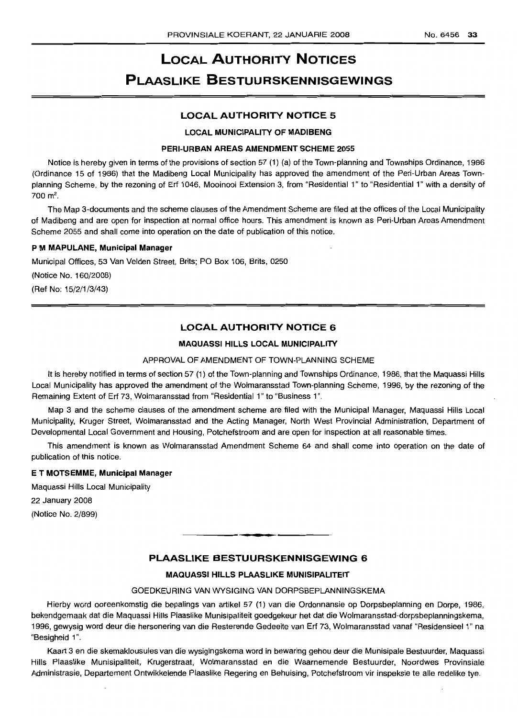# **LOCAL AUTHORITY NOTICES PLAASLIKE BESTUURSKENNISGEWINGS**

## **LOCAL AUTHORITY NOTICE 5**

#### **LOCAL MUNICIPALITY OF MADIBENG**

#### **PERI-URBAN AREAS AMENDMENT SCHEME 2055**

Notice is hereby given in terms of the provisions of section 57 (1) (a) of the Town-planning and Townships Ordinance, 1986 (Ordinance 15 of 1986) that the Madibeng Local Municipality has approved the amendment of the Peri-Urban Areas Townplanning Scheme, by the rezoning of Erf 1046, Mooinooi Extension 3, from "Residential 1" to "Residential 1" with a density of  $700 \, \text{m}^2$ .

The Map 3-documents and the scheme clauses of the Amendment Scheme are filed at the offices of the Local Municipality of Madibeng and are open for inspection at normal office hours. This amendment is known as Peri-Urban Areas Amendment Scheme 2055 and shall come into operation on the date of publication of this notice.

#### P **M MAPULANE, Municipal Manager**

Municipal Offices, 53 Van Velden Street, Brits; PO Box 106, Brits, 0250

(Notice No. 160/2008)

(Ref No: 15/2/1/3/43)

## **LOCAL AUTHORITY NOTICE 6**

#### **MAQUASSI HILLS LOCAL MUNICIPALITY**

#### APPROVAL OF AMENDMENT **OF** TOWN-PLANNING SCHEME

It is hereby notified in terms of section 57 (1) of the Town-planning and Townships Ordinance, 1986, that the Maquassi Hills Local Municipality has approved the amendment of the Wolmaransstad Town-planning Scheme, 1996, by the rezoning of the Remaining Extent of Erf 73, Wolmaransstad from "Residential 1" to "Business 1''.

Map 3 and the scheme clauses of the amendment scheme are filed with the Municipal Manager, Maquassi Hills Local Municipality, Kruger Street, Wolmaransstad and the Acting Manager, North West Provincial Administration, Department of Developmental Local Government and Housing, Potchefstroom and are open for inspection at all reasonable times.

This amendment is known as Wolmaransstad Amendment Scheme 64 and shall come into operation on the date of publication of this notice.

#### E **T MOTSEMME, Municipal Manager**

Maquassi Hills Local Municipality

22 January 2008

(Notice No. 2/899)

## **PLAASLIKE BESTUURSKENNISGEWING 6**

**• I**

## **MAQUASSI HILLS PLAASLIKE MUNISIPALITEIT**

## GOEDKEURING VAN WYSIGING VAN DORPSBEPLANNINGSKEMA

Hierby word ooreenkomstig die bepalings van artikel 57 (1) van die Ordonnansie op Dorpsbeplanning en Dorpe, 1986, bekendgemaak dat die Maquassi Hills Plaaslike Munisipaliteit goedgekeur het dat die Wolmaransstad-dorpsbeplanningskema, 1996, gewysig word deur die hersonering van die Resterende Gedeelte van Erf 73, Wolmaransstad vanaf "Residensieel 1" na "Besigheid 1".

Kaart 3 en die skemaklousules van die wysigingskema word in bewaring gehou deur die Munisipale Bestuurder, Maquassi Hills Plaaslike Munisipaliteit, Krugerstraat, Wolmaransstad en die Waarnemende Bestuurder, Noordwes Provinsiale Administrasie, Departement Ontwikkelende Plaaslike Regering en Behuising, Potchefstroom vir inspeksie te aile redelike tye.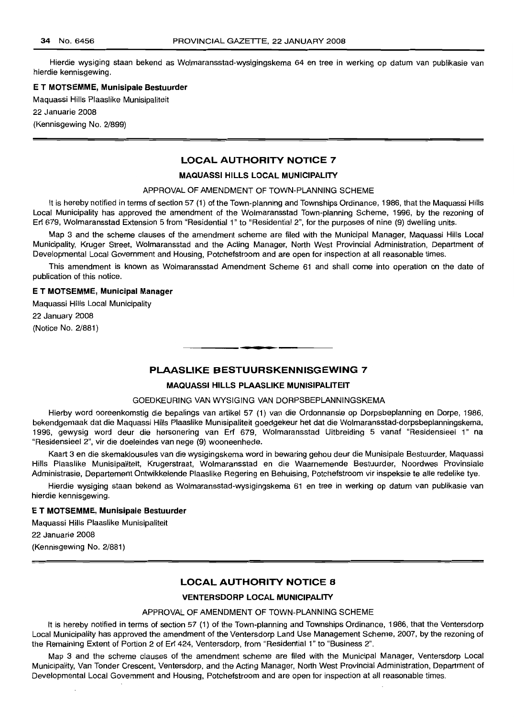Hierdie wysiging staan bekend as Wolmaransstad-wysigingskema 64 en tree in werking op datum van publikasie van hierdie kennisgewing. .

#### E **T MOTSEMME, Munisipale Bestuurder**

Maquassi Hills Plaaslike Munisipaliteit

22 Januarie 2008

(Kennisgewing No. 2/899)

## **LOCAL AUTHORITY NOTICE 7**

## **MAQUASSI HILLS LOCAL MUNICIPALITY**

## APPROVAL OF AMENDMENT OF TOWN-PLANNING SCHEME

It is hereby notified in terms of section 57 (1) of the Town-planning and Townships Ordinance, 1986, that the Maquassi Hills Local Municipality has approved the amendment of the Wolmaransstad Town-planning Scheme, 1996, by the rezoning of Erf 679, Wolmaransstad Extension 5 from "Residential 1" to "Residential 2", for the purposes of nine (9) dwelling units.

Map 3 and the scheme clauses of the amendment scheme are filed with the Municipal Manager, Maquassi Hills Local Municipality, Kruger Street, Wolmaransstad and the Acting Manager, North West Provincial Administration, Department of Developmental Local Government and Housing, Potchefstroom and are open for inspection at all reasonable times.

This amendment is known as Wolmaransstad Amendment Scheme 61 and shall come into operation on the date of publication of this notice.

#### E **T MOTSEMME, Municipal Manager**

Maquassi Hills Local Municipality 22 January 2008 (Notice No. 2/881)

## **PLAASLIKE BESTUURSKENNISGEWING 7**

#### **MAQUASSI HILLS PLAASLIKE MUNISIPALITEIT**

**• •**

#### GOEDKEURING VAN WYSIGING VAN DORPSBEPLANNINGSKEMA

Hierby word ooreenkomstig die bepalings van artikel 57 (1) van die Ordonnansie op Dorpsbeplanning en Dorpe, 1986, bekendgemaak dat die Maquassi Hills Plaaslike Munisipaliteit goedgekeur het dat die Wolmaransstad-dorpsbeplanningskema, 1996, gewysig word deur die hersonering van Erf 679, Wolmaransstad Uitbreiding 5 vanaf "Residensieel 1" na "Residensieel 2", vir die doeleindes van nege (9) wooneenhede.

Kaart 3 en die skemaklousules van die wysigingskema word in bewaring gehou deur die Munisipale Bestuurder, Maquassi Hills Plaaslike Munisipaliteit, Krugerstraat, Wolmaransstad en die Waarnemende Bestuurder, Noordwes Provinsiale Administrasie, Departement Ontwikkelende Plaaslike Regering en Behuising, Potchefstroom vir inspeksie te aile redelike tye.

Hierdie wysiging staan bekend as Wolmaransstad-wysigingskema 61 en tree in werking op datum van publikasie van hierdie kennisgewing.

#### E **T MOTSEMME, Munisipale Bestuurder**

Maquassi Hills Plaaslike Munisipaliteit

22 Januarie 2008

(Kennisgewing No. 2/881)

## **LOCAL AUTHORITY NOTICE 8**

#### **VENTERSDORP LOCAL MUNICIPALITY**

#### APPROVAL OF AMENDMENT OF TOWN-PLANNING SCHEME

It is hereby notified in terms of section 57 (1) of the Town-planning and Townships Ordinance, 1986, that the Ventersdorp Local Municipality has approved the amendment of the Ventersdorp Land Use Management Scheme, 2007, by the rezoning of the Remaining Extent of Portion 2 of Erf 424, Ventersdorp, from "Residential 1" to "Business 2".

Map 3 and the scheme clauses of the amendment scheme are filed with the Municipal Manager, Ventersdorp Local Municipality, Van Tonder Crescent, Ventersdorp, and the Acting Manager, North West Provincial Administration, Department of Developmental Local Government and Housing, Potchefstroom and are open for inspection at all reasonable times.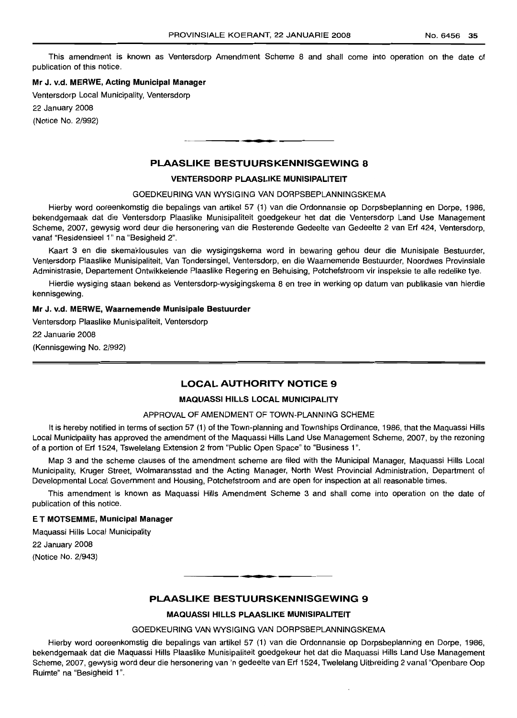This amendment is known as Ventersdorp Amendment Scheme 8 and shall come into operation on the date of publication of this notice.

#### **Mr** J. v.d. **MERWE, Acting Municipal Manager**

Ventersdorp Local Municipality, Ventersdorp

22 January 2008

(Notice No. 2/992)

## **PLAASLIKE BESTUURSKENNISGEWING 8**

**• I**

#### **VENTERSDORP PLAASLIKE MUNISIPALITEIT**

#### GOEDKEURING VAN WYSIGING VAN DORPSBEPLANNINGSKEMA

Hierby word ooreenkomstig die bepalings van artikel 57 (1) van die Ordonnansie op Dorpsbeplanning en Dorpe, 1986, bekendgemaak dat die Ventersdorp Plaaslike Munisipaliteit goedgekeur het dat die Ventersdorp Land Use Management Scheme, 2007, gewysig word deur die hersonering van die Resterende Gedeelte van Gedeelte 2 van Erf 424, Ventersdorp, vanaf "Residensieel 1" na "Besigheid 2".

Kaart 3 en die skemaklousules van die wysigingskema word in bewaring gehou deur die Munisipale Bestuurder, Ventersdorp Plaaslike Munisipaliteit, Van Tondersingel, Ventersdorp, en die Waarnemende Bestuurder, Noordwes Provinsiale Administrasie, Departement Ontwikkelende Plaaslike Regering en Behuising, Potchefstroom vir inspeksie te aile redelike tye.

Hierdie wysiging staan bekend as Ventersdorp-wysigingskema 8 en tree in werking op datum van publikasie van hierdie kennisgewing.

#### **Mr** J. v.d. **MERWE, Waarnemende Munisipale Bestuurder**

Ventersdorp Plaaslike Munisipaliteit, Ventersdorp 22 Januarie 2008 (Kennisgewing No. 2/992)

## **LOCAL AUTHORITY NOTICE 9**

#### **MAQUASSI HILLS LOCAL MUNICIPALITY**

#### APPROVAL OF AMENDMENT OF TOWN-PLANNING SCHEME

It is hereby notified in terms of section 57 (1) of the Town-planning and Townships Ordinance, 1986, that the Maquassi Hills Local Municipality has approved the amendment of the Maquassi Hills Land Use Management Scheme, 2007, by the rezoning of a portion of Erf 1524, Tswelelang Extension 2 from "Public Open Space" to "Business 1".

Map 3 and the scheme clauses of the amendment scheme are filed with the Municipal Manager, Maquassi Hills Local Municipality, Kruger Street, Wolmaransstad and the Acting Manager, North West Provincial Administration, Department of Developmental Local Government and Housing, Potchefstroom and are open for inspection at all reasonable times.

This amendment is known as Maquassi Hills Amendment Scheme 3 and shall come into operation on the date of publication of this notice.

#### E **T MOTSEMME, Municipal Manager**

Maquassi Hills Local Municipality

22 January 2008 (Notice No. 2/943)

## **PLAASLIKE BESTUURSKENNISGEWING 9**

• **• •**

## **MAQUASSI HILLS PLAASLIKE MUNISIPALITEIT**

#### GOEDKEURING VAN WYSIGING VAN DORPSBEPLANNINGSKEMA

Hierby word ooreenkomstig die bepalings van artikel 57 (1) van die Ordonnansie op Dorpsbeplanning en Dorpe, 1986, bekendgemaak dat die Maquassi Hills Plaaslike Munisipaliteit goedgekeur het dat die Maquassi Hills Land Use Management Scheme, 2007, gewysig word deur die hersonering van 'n gedeelte van Erf 1524, Twelelang Uitbreiding 2 vanaf "Openbare Oop Ruimte" na "Besigheid 1".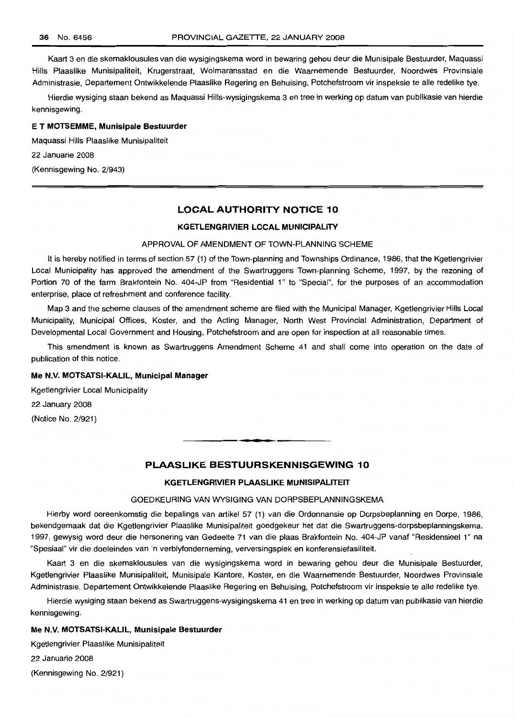Kaart 3 en die skemaklousules van die wysigingskema word in bewaring gehou deur die Munisipale Bestuurder, Maquassi Hills Plaaslike Munisipaliteit, Krugerstraat, Wolmaransstad en die Waarnemende Bestuurder, Noordwes Provinsiale Administrasie, Departement Ontwikkelende Plaaslike Regering en Behuising, Potchefstroom vir inspeksie te aile redelike tye.

Hierdie wysiging staan bekend as Maquassi HiIIs-wysigingskema 3 en tree in werking op datum van publikasie van hierdie kennisgewing.

#### E **T MOTSEMME, Munisipale Bestuurder**

Maquassi Hills Plaaslike Munisipaliteit 22 Januarie 2008

(Kennisgewing No. 2/943)

## **LOCAL AUTHORITY NOTICE 10**

#### **KGETLENGRIVIER LOCAL MUNICIPALITY**

#### APPROVAL OF AMENDMENT OF TOWN-PLANNING SCHEME

It is hereby notified in terms of section 57 (1) of the Town-planning and Townships Ordinance, 1986, that the Kgetlengrivier Local Municipality has approved the amendment of the Swartruggens Town-planning Scheme, 1997, by the rezoning of Portion 70 of the farm Brakfontein No. 404-JP from "Residential 1" to "Special", for the purposes of an accommodation enterprise, place of refreshment and conference facility.

Map 3 and the scheme clauses of the amendment scheme are filed with the Municipal Manager, Kgetlengrivier Hills Local Municipality, Municipal Offices, Koster, and the Acting Manager, North West Provincial Administration, Department of Developmental Local Government and Housing, Potchefstroom and are open for inspection at all reasonable times.

This amendment is known as Swartruggens Amendment Scheme 41 and shall come into operation on the date of publication of this notice.

#### **Me N.V. MOTSATSI-KALIL, Municipal Manager**

Kgetlengrivier Local Municipality 22 January 2008 (Notice No. 2/921)

## **PLAASLIKE BESTUURSKENNISGEWING 10**

**• •**

## **KGETLENGRIVIER PLAASLIKE MUNISIPALITEIT**

#### GOEDKEURING VAN WYSIGING VAN DORPSBEPLANNINGSKEMA

Hierby word ooreenkomstig die bepalings van artikel 57 (1) van die Ordonnansie op Dorpsbeplanning en Dorpe, 1986, bekendgemaak dat die Kgetlengrivier Plaaslike Munisipaliteit goedgekeur het dat die Swartruggens-dorpsbeplanningskema, 1997, gewysig word deur die hersonering van Gedeelte 71 van die plaas Brakfontein No. 404-JP vanaf "Residensieel 1" na "Spesiaal" vir die doeleindes van 'n verblyfonderneming, verversingsplek en konferensiefasiliteit.

Kaart 3 en die skemaklousules van die wysigingskema word in bewaring gehou deur die Munisipale Bestuurder, Kgetlengrivier Plaaslike Munisipaliteit, Munisipale Kantore, Koster, en die Waarnemende Bestuurder, Noordwes Provinsiale Administrasie, Departement Ontwikkelende Plaaslike Regering en Behuising, Potchefstroom vir inspeksie te aile redelike tye.

Hierdie wysiging staan bekend as Swartruggens-wysigingskema 41 en tree in werking op datum van publikasie van hierdie kennisgewing.

#### **Me N.V. MOTSATSI-KALlL, Munisipale Bestuurder**

Kgetlengrivier Plaaslike Munisipaliteit

22 Januarie 2008

(Kennisgewing No. 2/921)